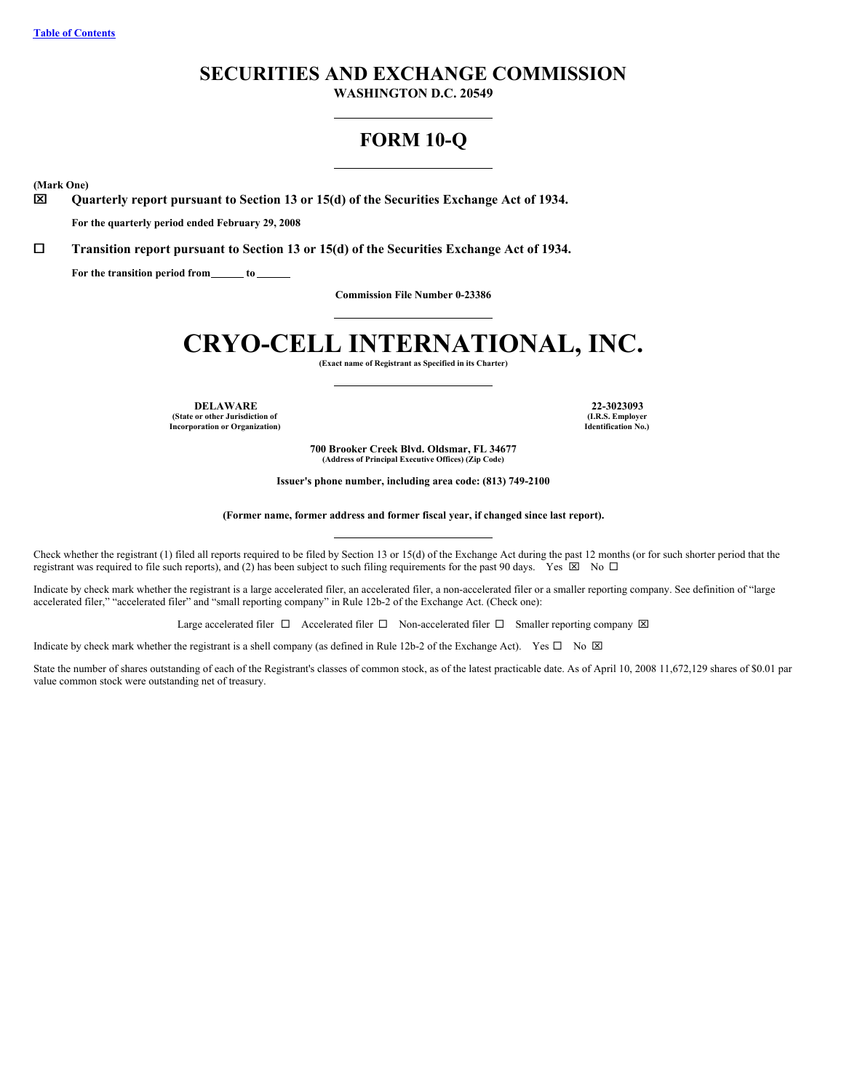## **SECURITIES AND EXCHANGE COMMISSION**

**WASHINGTON D.C. 20549**

# **FORM 10-Q**

**(Mark One)**

x **Quarterly report pursuant to Section 13 or 15(d) of the Securities Exchange Act of 1934.**

**For the quarterly period ended February 29, 2008**

¨ **Transition report pursuant to Section 13 or 15(d) of the Securities Exchange Act of 1934.**

**For the transition period from to**

**Commission File Number 0-23386**

# **CRYO-CELL INTERNATIONAL, INC.**

**(Exact name of Registrant as Specified in its Charter)**

**DELAWARE 22-3023093 (State or other Jurisdiction of Incorporation or Organization)**

**(I.R.S. Employer Identification No.)**

**700 Brooker Creek Blvd. Oldsmar, FL 34677 (Address of Principal Executive Offices) (Zip Code)**

**Issuer's phone number, including area code: (813) 749-2100**

**(Former name, former address and former fiscal year, if changed since last report).**

Check whether the registrant (1) filed all reports required to be filed by Section 13 or 15(d) of the Exchange Act during the past 12 months (or for such shorter period that the registrant was required to file such reports), and (2) has been subject to such filing requirements for the past 90 days. Yes  $\boxtimes$  No  $\Box$ 

Indicate by check mark whether the registrant is a large accelerated filer, an accelerated filer, a non-accelerated filer or a smaller reporting company. See definition of "large accelerated filer," "accelerated filer" and "small reporting company" in Rule 12b-2 of the Exchange Act. (Check one):

Large accelerated filer  $\Box$  Accelerated filer  $\Box$  Non-accelerated filer  $\Box$  Smaller reporting company  $\boxtimes$ 

Indicate by check mark whether the registrant is a shell company (as defined in Rule 12b-2 of the Exchange Act). Yes  $\Box$  No  $\boxtimes$ 

State the number of shares outstanding of each of the Registrant's classes of common stock, as of the latest practicable date. As of April 10, 2008 11, 672, 129 shares of \$0.01 par value common stock were outstanding net of treasury.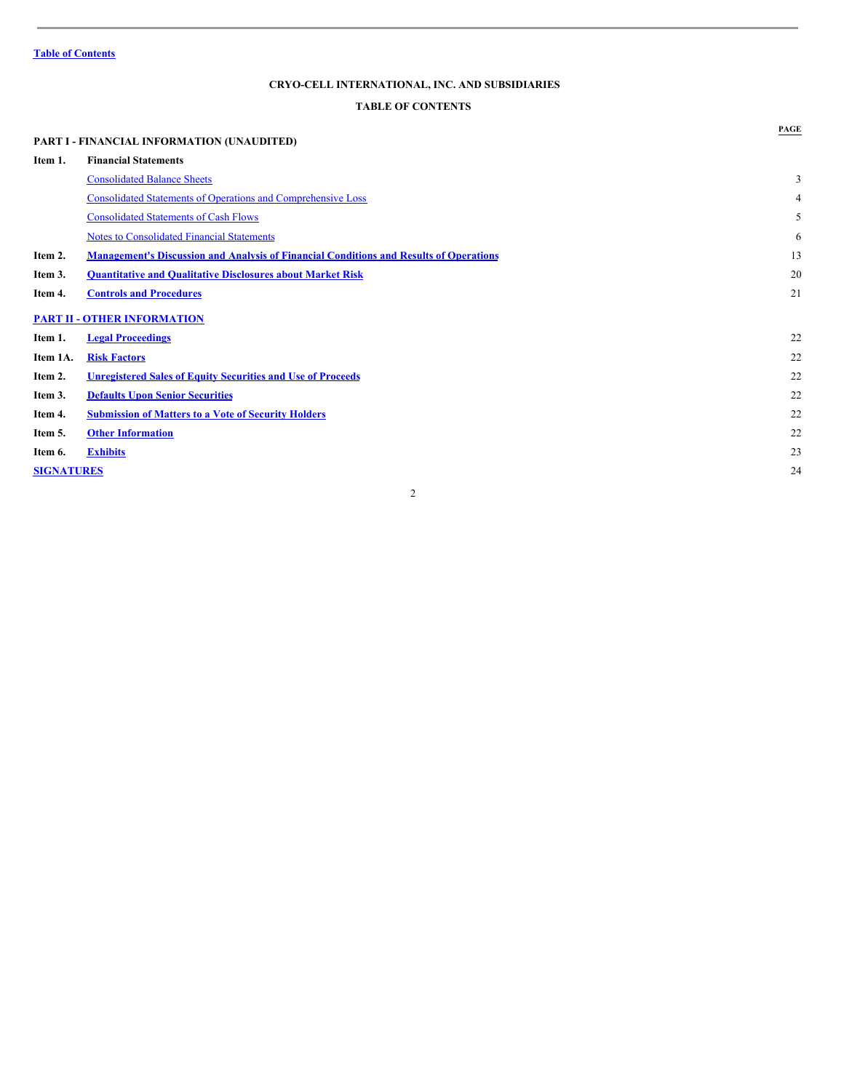## <span id="page-1-0"></span>**TABLE OF CONTENTS**

|                   | <b>PART I - FINANCIAL INFORMATION (UNAUDITED)</b>                                             | PAGE           |
|-------------------|-----------------------------------------------------------------------------------------------|----------------|
| Item 1.           | <b>Financial Statements</b>                                                                   |                |
|                   | <b>Consolidated Balance Sheets</b>                                                            | 3              |
|                   | <b>Consolidated Statements of Operations and Comprehensive Loss</b>                           | $\overline{4}$ |
|                   | <b>Consolidated Statements of Cash Flows</b>                                                  | 5              |
|                   | <b>Notes to Consolidated Financial Statements</b>                                             | 6              |
| Item 2.           | <b>Management's Discussion and Analysis of Financial Conditions and Results of Operations</b> | 13             |
| Item 3.           | <b>Quantitative and Qualitative Disclosures about Market Risk</b>                             | 20             |
| Item 4.           | <b>Controls and Procedures</b>                                                                | 21             |
|                   | <b>PART II - OTHER INFORMATION</b>                                                            |                |
| Item 1.           | <b>Legal Proceedings</b>                                                                      | 22             |
| Item 1A.          | <b>Risk Factors</b>                                                                           | 22             |
| Item 2.           | <b>Unregistered Sales of Equity Securities and Use of Proceeds</b>                            | 22             |
| Item 3.           | <b>Defaults Upon Senior Securities</b>                                                        | 22             |
| Item 4.           | <b>Submission of Matters to a Vote of Security Holders</b>                                    | 22             |
| Item 5.           | <b>Other Information</b>                                                                      | 22             |
| Item 6.           | <b>Exhibits</b>                                                                               | 23             |
| <b>SIGNATURES</b> |                                                                                               | 24             |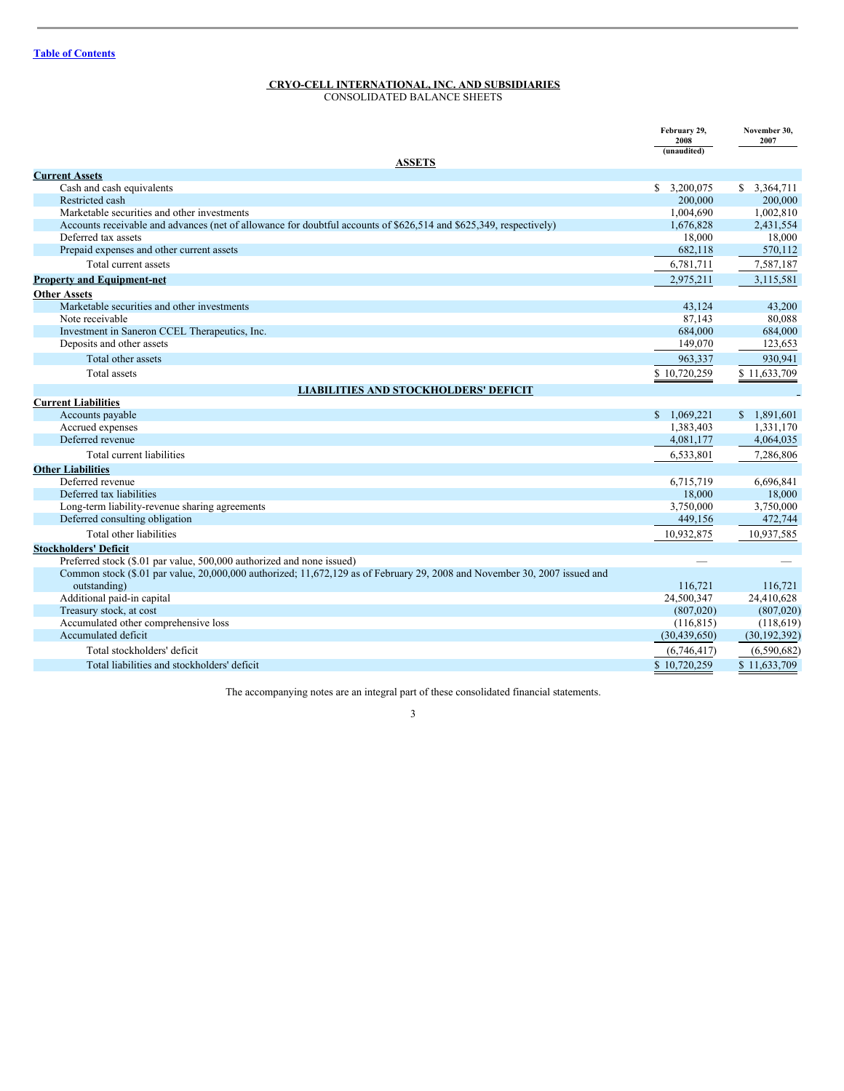<span id="page-2-0"></span>CONSOLIDATED BALANCE SHEETS

|                                                                                                                           | February 29,<br>2008<br>(unaudited) | November 30.<br>2007 |
|---------------------------------------------------------------------------------------------------------------------------|-------------------------------------|----------------------|
| <b>ASSETS</b>                                                                                                             |                                     |                      |
| <b>Current Assets</b>                                                                                                     |                                     |                      |
| Cash and cash equivalents                                                                                                 | \$ 3,200,075                        | \$3,364,711          |
| Restricted cash                                                                                                           | 200,000                             | 200,000              |
| Marketable securities and other investments                                                                               | 1,004,690                           | 1,002,810            |
| Accounts receivable and advances (net of allowance for doubtful accounts of \$626,514 and \$625,349, respectively)        | 1,676,828                           | 2,431,554            |
| Deferred tax assets                                                                                                       | 18,000                              | 18,000               |
| Prepaid expenses and other current assets                                                                                 | 682,118                             | 570,112              |
| Total current assets                                                                                                      | 6,781,711                           | 7,587,187            |
| <b>Property and Equipment-net</b>                                                                                         | 2,975,211                           | 3,115,581            |
| <b>Other Assets</b>                                                                                                       |                                     |                      |
| Marketable securities and other investments                                                                               | 43.124                              | 43,200               |
| Note receivable                                                                                                           | 87.143                              | 80.088               |
| Investment in Saneron CCEL Therapeutics, Inc.                                                                             | 684,000                             | 684,000              |
| Deposits and other assets                                                                                                 | 149,070                             | 123,653              |
| Total other assets                                                                                                        | 963,337                             | 930,941              |
| Total assets                                                                                                              | \$10,720,259                        | \$11,633,709         |
| <b>LIABILITIES AND STOCKHOLDERS' DEFICIT</b>                                                                              |                                     |                      |
| <b>Current Liabilities</b>                                                                                                |                                     |                      |
| Accounts payable                                                                                                          | \$1,069,221                         | \$1,891,601          |
| Accrued expenses                                                                                                          | 1,383,403                           | 1,331,170            |
| Deferred revenue                                                                                                          | 4,081,177                           | 4,064,035            |
| Total current liabilities                                                                                                 | 6,533,801                           | 7,286,806            |
| <b>Other Liabilities</b>                                                                                                  |                                     |                      |
| Deferred revenue                                                                                                          | 6,715,719                           | 6,696,841            |
| Deferred tax liabilities                                                                                                  | 18,000                              | 18,000               |
| Long-term liability-revenue sharing agreements                                                                            | 3,750,000                           | 3,750,000            |
| Deferred consulting obligation                                                                                            | 449,156                             | 472,744              |
| Total other liabilities                                                                                                   | 10,932,875                          | 10,937,585           |
| <b>Stockholders' Deficit</b>                                                                                              |                                     |                      |
| Preferred stock (\$.01 par value, 500,000 authorized and none issued)                                                     |                                     |                      |
| Common stock (\$.01 par value, 20,000,000 authorized; 11,672,129 as of February 29, 2008 and November 30, 2007 issued and |                                     |                      |
| outstanding)                                                                                                              | 116,721                             | 116,721              |
| Additional paid-in capital                                                                                                | 24,500,347                          | 24,410,628           |
| Treasury stock, at cost                                                                                                   | (807,020)                           | (807,020)            |
| Accumulated other comprehensive loss                                                                                      | (116, 815)                          | (118,619)            |
| Accumulated deficit                                                                                                       | (30, 439, 650)                      | (30, 192, 392)       |
| Total stockholders' deficit                                                                                               | (6,746,417)                         | (6,590,682)          |
| Total liabilities and stockholders' deficit                                                                               | \$10,720,259                        | \$11,633,709         |

The accompanying notes are an integral part of these consolidated financial statements.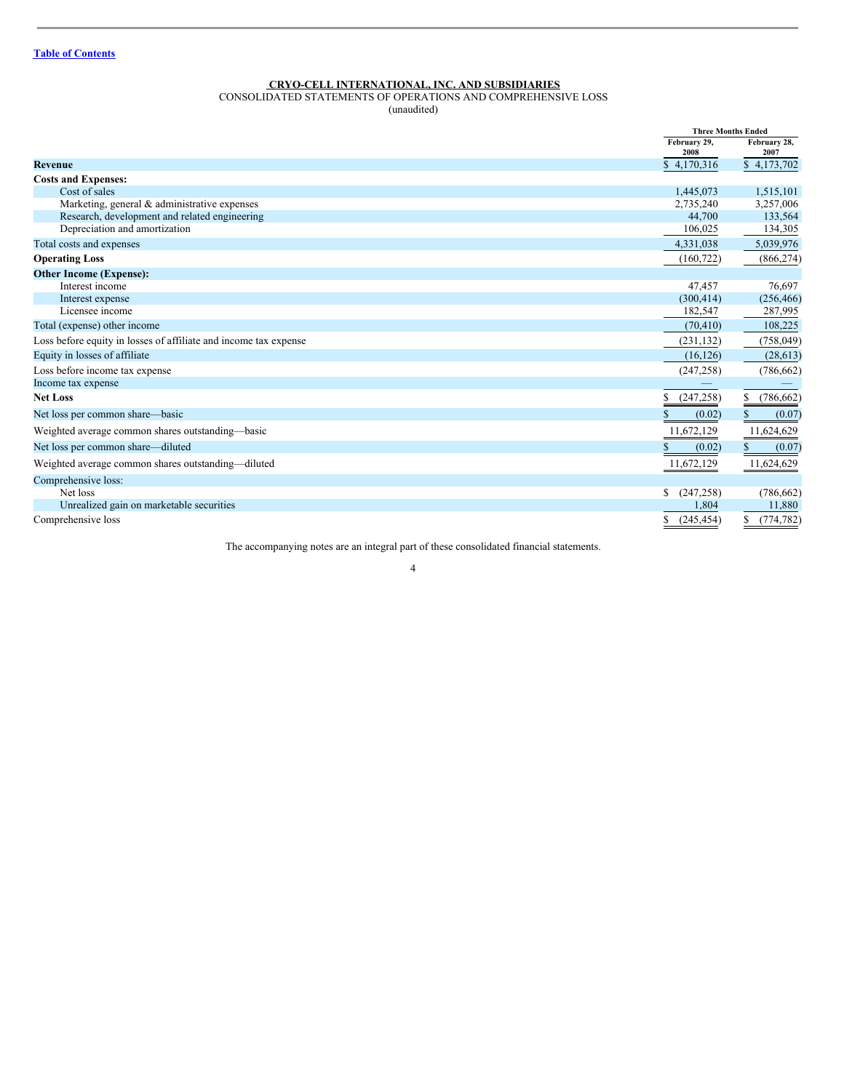#### <span id="page-3-0"></span>CONSOLIDATED STATEMENTS OF OPERATIONS AND COMPREHENSIVE LOSS

(unaudited)

|                                                                  |                      | <b>Three Months Ended</b> |
|------------------------------------------------------------------|----------------------|---------------------------|
|                                                                  | February 29,<br>2008 | February 28,<br>2007      |
| Revenue                                                          | \$4,170,316          | \$4,173,702               |
| <b>Costs and Expenses:</b>                                       |                      |                           |
| Cost of sales                                                    | 1,445,073            | 1,515,101                 |
| Marketing, general & administrative expenses                     | 2,735,240            | 3,257,006                 |
| Research, development and related engineering                    | 44,700               | 133,564                   |
| Depreciation and amortization                                    | 106,025              | 134,305                   |
| Total costs and expenses                                         | 4,331,038            | 5,039,976                 |
| <b>Operating Loss</b>                                            | (160, 722)           | (866, 274)                |
| <b>Other Income (Expense):</b>                                   |                      |                           |
| Interest income                                                  | 47,457               | 76,697                    |
| Interest expense                                                 | (300, 414)           | (256, 466)                |
| Licensee income                                                  | 182,547              | 287,995                   |
| Total (expense) other income                                     | (70, 410)            | 108,225                   |
| Loss before equity in losses of affiliate and income tax expense | (231, 132)           | (758, 049)                |
| Equity in losses of affiliate                                    | (16, 126)            | (28, 613)                 |
| Loss before income tax expense                                   | (247, 258)           | (786, 662)                |
| Income tax expense                                               |                      |                           |
| <b>Net Loss</b>                                                  | (247, 258)<br>\$     | (786, 662)<br>\$          |
| Net loss per common share—basic                                  | (0.02)               | (0.07)                    |
| Weighted average common shares outstanding—basic                 | 11,672,129           | 11,624,629                |
| Net loss per common share—diluted                                | (0.02)               | (0.07)                    |
| Weighted average common shares outstanding—diluted               | 11,672,129           | 11,624,629                |
| Comprehensive loss:                                              |                      |                           |
| Net loss                                                         | (247, 258)<br>\$     | (786, 662)                |
| Unrealized gain on marketable securities                         | 1,804                | 11,880                    |
| Comprehensive loss                                               | S<br>(245, 454)      | (774, 782)<br>S           |

The accompanying notes are an integral part of these consolidated financial statements.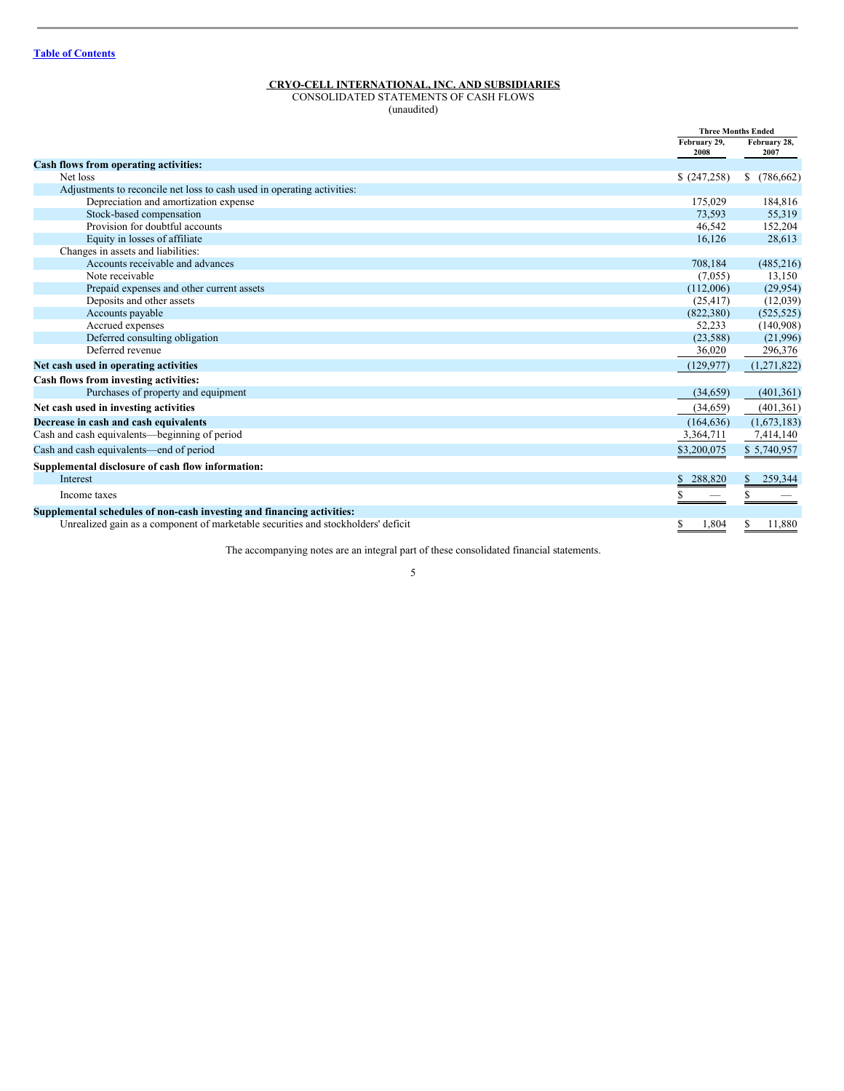<span id="page-4-0"></span>CONSOLIDATED STATEMENTS OF CASH FLOWS

(unaudited)

|                                                                                   |                      | <b>Three Months Ended</b> |
|-----------------------------------------------------------------------------------|----------------------|---------------------------|
|                                                                                   | February 29,<br>2008 | February 28,<br>2007      |
| Cash flows from operating activities:                                             |                      |                           |
| Net loss                                                                          | $$$ $(247,258)$      | \$<br>(786, 662)          |
| Adjustments to reconcile net loss to cash used in operating activities:           |                      |                           |
| Depreciation and amortization expense                                             | 175,029              | 184,816                   |
| Stock-based compensation                                                          | 73.593               | 55,319                    |
| Provision for doubtful accounts                                                   | 46,542               | 152,204                   |
| Equity in losses of affiliate                                                     | 16,126               | 28,613                    |
| Changes in assets and liabilities:                                                |                      |                           |
| Accounts receivable and advances                                                  | 708,184              | (485,216)                 |
| Note receivable                                                                   | (7.055)              | 13,150                    |
| Prepaid expenses and other current assets                                         | (112,006)            | (29, 954)                 |
| Deposits and other assets                                                         | (25, 417)            | (12,039)                  |
| Accounts payable                                                                  | (822, 380)           | (525, 525)                |
| Accrued expenses                                                                  | 52,233               | (140,908)                 |
| Deferred consulting obligation                                                    | (23, 588)            | (21,996)                  |
| Deferred revenue                                                                  | 36,020               | 296,376                   |
| Net cash used in operating activities                                             | (129, 977)           | (1,271,822)               |
| Cash flows from investing activities:                                             |                      |                           |
| Purchases of property and equipment                                               | (34, 659)            | (401, 361)                |
| Net cash used in investing activities                                             | (34, 659)            | (401, 361)                |
| Decrease in cash and cash equivalents                                             | (164, 636)           | (1,673,183)               |
| Cash and cash equivalents—beginning of period                                     | 3,364,711            | 7,414,140                 |
| Cash and cash equivalents—end of period                                           | \$3,200,075          | \$5,740,957               |
| Supplemental disclosure of cash flow information:                                 |                      |                           |
| <b>Interest</b>                                                                   | 288,820<br>\$.       | 259,344                   |
| Income taxes                                                                      |                      |                           |
| Supplemental schedules of non-cash investing and financing activities:            |                      |                           |
| Unrealized gain as a component of marketable securities and stockholders' deficit | 1,804<br>\$          | \$<br>11,880              |

The accompanying notes are an integral part of these consolidated financial statements.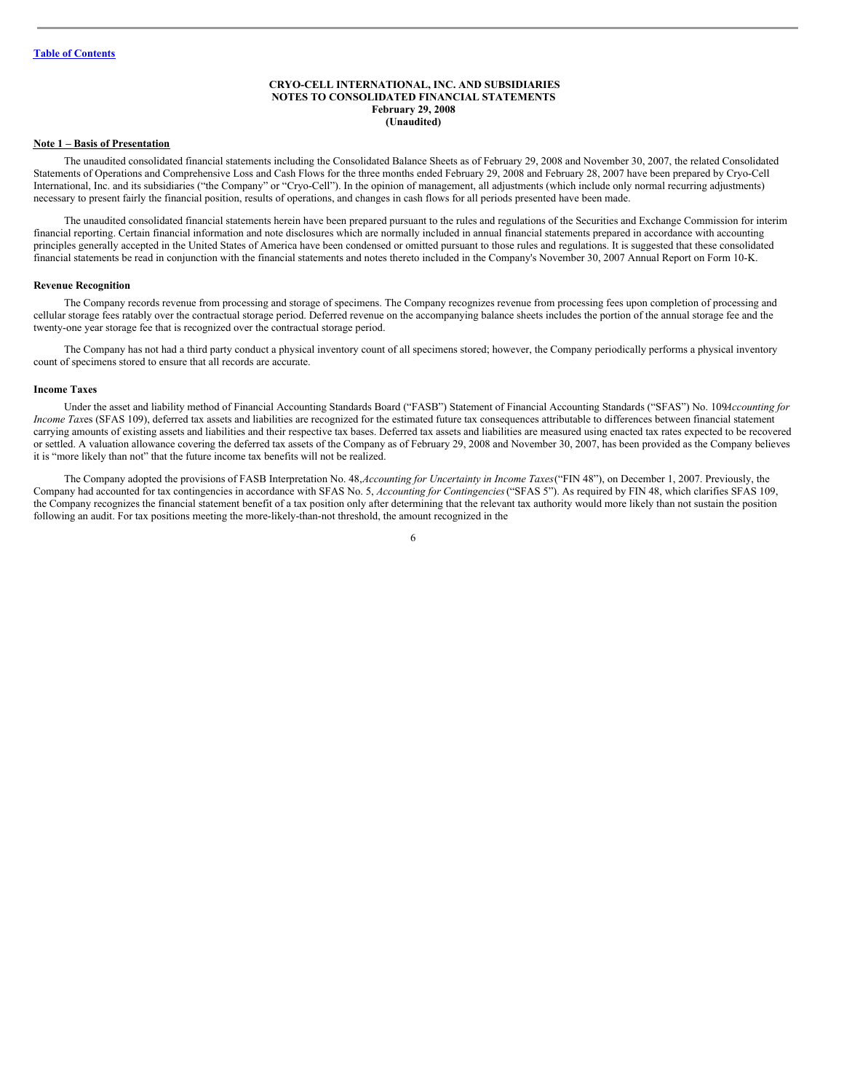#### <span id="page-5-0"></span>**CRYO-CELL INTERNATIONAL, INC. AND SUBSIDIARIES NOTES TO CONSOLIDATED FINANCIAL STATEMENTS February 29, 2008 (Unaudited)**

#### **Note 1 – Basis of Presentation**

The unaudited consolidated financial statements including the Consolidated Balance Sheets as of February 29, 2008 and November 30, 2007, the related Consolidated Statements of Operations and Comprehensive Loss and Cash Flows for the three months ended February 29, 2008 and February 28, 2007 have been prepared by Cryo-Cell International, Inc. and its subsidiaries ("the Company" or "Cryo-Cell"). In the opinion of management, all adjustments (which include only normal recurring adjustments) necessary to present fairly the financial position, results of operations, and changes in cash flows for all periods presented have been made.

The unaudited consolidated financial statements herein have been prepared pursuant to the rules and regulations of the Securities and Exchange Commission for interim financial reporting. Certain financial information and note disclosures which are normally included in annual financial statements prepared in accordance with accounting principles generally accepted in the United States of America have been condensed or omitted pursuant to those rules and regulations. It is suggested that these consolidated financial statements be read in conjunction with the financial statements and notes thereto included in the Company's November 30, 2007 Annual Report on Form 10-K.

#### **Revenue Recognition**

The Company records revenue from processing and storage of specimens. The Company recognizes revenue from processing fees upon completion of processing and cellular storage fees ratably over the contractual storage period. Deferred revenue on the accompanying balance sheets includes the portion of the annual storage fee and the twenty-one year storage fee that is recognized over the contractual storage period.

The Company has not had a third party conduct a physical inventory count of all specimens stored; however, the Company periodically performs a physical inventory count of specimens stored to ensure that all records are accurate.

#### **Income Taxes**

Under the asset and liability method of Financial Accounting Standards Board ("FASB") Statement of Financial Accounting Standards ("SFAS") No. 109*Accounting for Income Taxes* (SFAS 109), deferred tax assets and liabilities are recognized for the estimated future tax consequences attributable to differences between financial statement carrying amounts of existing assets and liabilities and their respective tax bases. Deferred tax assets and liabilities are measured using enacted tax rates expected to be recovered or settled. A valuation allowance covering the deferred tax assets of the Company as of February 29, 2008 and November 30, 2007, has been provided as the Company believes it is "more likely than not" that the future income tax benefits will not be realized.

The Company adopted the provisions of FASB Interpretation No. 48,*Accounting for Uncertainty in Income Taxes*("FIN 48"), on December 1, 2007. Previously, the Company had accounted for tax contingencies in accordance with SFAS No. 5, *Accounting for Contingencies*("SFAS 5"). As required by FIN 48, which clarifies SFAS 109, the Company recognizes the financial statement benefit of a tax position only after determining that the relevant tax authority would more likely than not sustain the position following an audit. For tax positions meeting the more-likely-than-not threshold, the amount recognized in the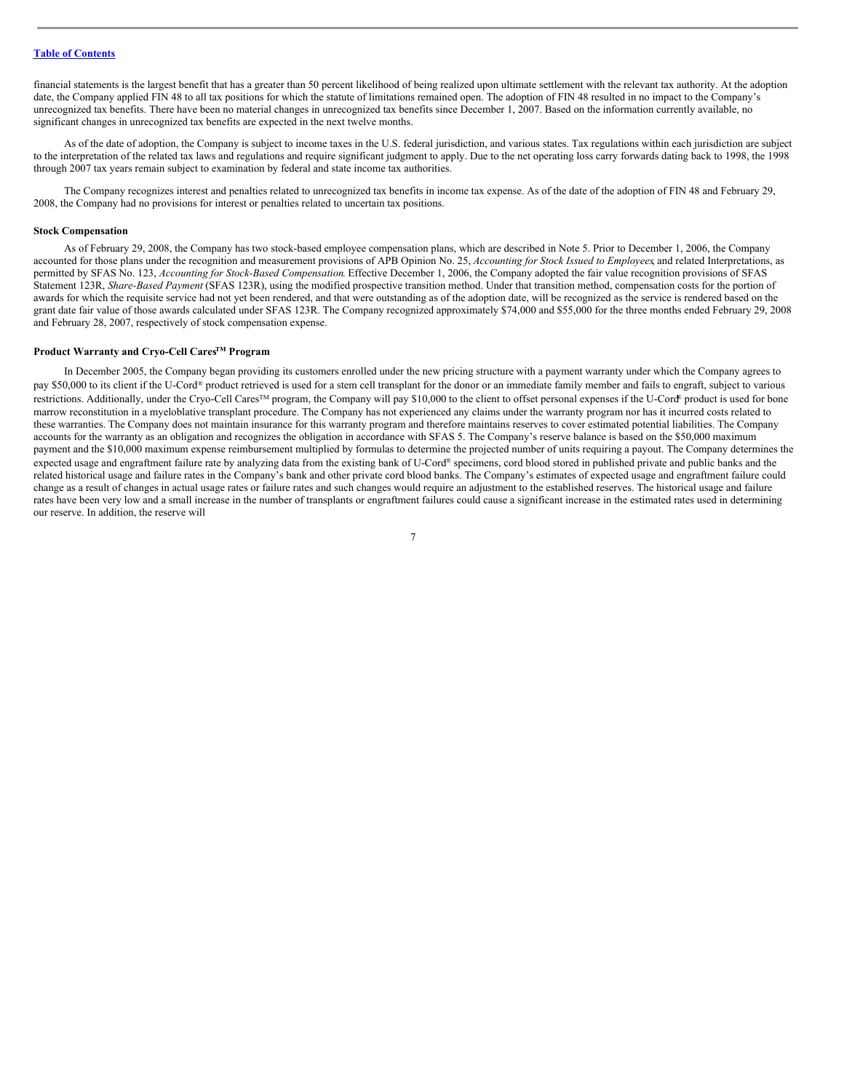financial statements is the largest benefit that has a greater than 50 percent likelihood of being realized upon ultimate settlement with the relevant tax authority. At the adoption date, the Company applied FIN 48 to all tax positions for which the statute of limitations remained open. The adoption of FIN 48 resulted in no impact to the Company's unrecognized tax benefits. There have been no material changes in unrecognized tax benefits since December 1, 2007. Based on the information currently available, no significant changes in unrecognized tax benefits are expected in the next twelve months.

As of the date of adoption, the Company is subject to income taxes in the U.S. federal jurisdiction, and various states. Tax regulations within each jurisdiction are subject to the interpretation of the related tax laws and regulations and require significant judgment to apply. Due to the net operating loss carry forwards dating back to 1998, the 1998 through 2007 tax years remain subject to examination by federal and state income tax authorities.

The Company recognizes interest and penalties related to unrecognized tax benefits in income tax expense. As of the date of the adoption of FIN 48 and February 29, 2008, the Company had no provisions for interest or penalties related to uncertain tax positions.

#### **Stock Compensation**

As of February 29, 2008, the Company has two stock-based employee compensation plans, which are described in Note 5. Prior to December 1, 2006, the Company accounted for those plans under the recognition and measurement provisions of APB Opinion No. 25, *Accounting for Stock Issued to Employees*, and related Interpretations, as permitted by SFAS No. 123, *Accounting for Stock-Based Compensation*. Effective December 1, 2006, the Company adopted the fair value recognition provisions of SFAS Statement 123R, *Share-Based Payment* (SFAS 123R), using the modified prospective transition method. Under that transition method, compensation costs for the portion of awards for which the requisite service had not yet been rendered, and that were outstanding as of the adoption date, will be recognized as the service is rendered based on the grant date fair value of those awards calculated under SFAS 123R. The Company recognized approximately \$74,000 and \$55,000 for the three months ended February 29, 2008 and February 28, 2007, respectively of stock compensation expense.

#### **Product Warranty and Cryo-Cell CaresTM Program**

In December 2005, the Company began providing its customers enrolled under the new pricing structure with a payment warranty under which the Company agrees to pay \$50,000 to its client if the U-Cord® product retrieved is used for a stem cell transplant for the donor or an immediate family member and fails to engraft, subject to various restrictions. Additionally, under the Cryo-Cell Cares<sup>™</sup> program, the Company will pay \$10,000 to the client to offset personal expenses if the U-Cord® product is used for bone marrow reconstitution in a myeloblative transplant procedure. The Company has not experienced any claims under the warranty program nor has it incurred costs related to these warranties. The Company does not maintain insurance for this warranty program and therefore maintains reserves to cover estimated potential liabilities. The Company accounts for the warranty as an obligation and recognizes the obligation in accordance with SFAS 5. The Company's reserve balance is based on the \$50,000 maximum payment and the \$10,000 maximum expense reimbursement multiplied by formulas to determine the projected number of units requiring a payout. The Company determines the expected usage and engraftment failure rate by analyzing data from the existing bank of U-Cord® specimens, cord blood stored in published private and public banks and the related historical usage and failure rates in the Company's bank and other private cord blood banks. The Company's estimates of expected usage and engraftment failure could change as a result of changes in actual usage rates or failure rates and such changes would require an adjustment to the established reserves. The historical usage and failure rates have been very low and a small increase in the number of transplants or engraftment failures could cause a significant increase in the estimated rates used in determining our reserve. In addition, the reserve will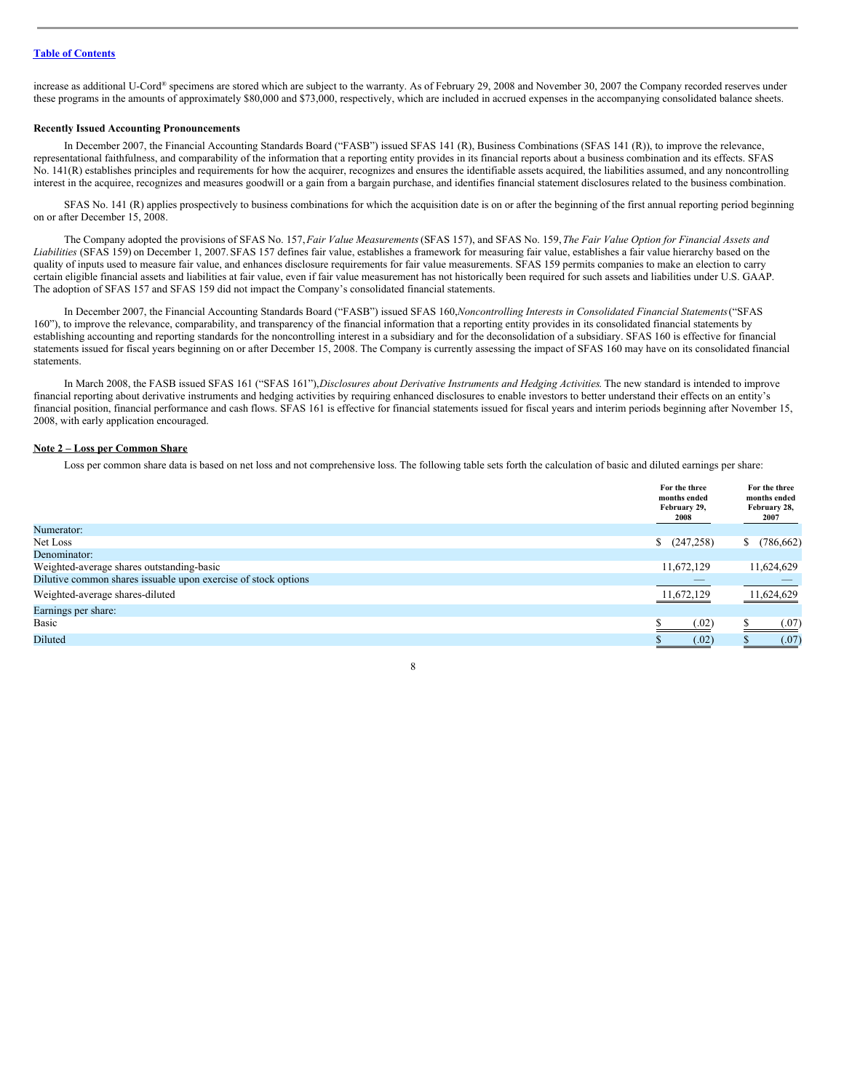increase as additional U-Cord® specimens are stored which are subject to the warranty. As of February 29, 2008 and November 30, 2007 the Company recorded reserves under these programs in the amounts of approximately \$80,000 and \$73,000, respectively, which are included in accrued expenses in the accompanying consolidated balance sheets.

#### **Recently Issued Accounting Pronouncements**

In December 2007, the Financial Accounting Standards Board ("FASB") issued SFAS 141 (R), Business Combinations (SFAS 141 (R)), to improve the relevance, representational faithfulness, and comparability of the information that a reporting entity provides in its financial reports about a business combination and its effects. SFAS No. 141(R) establishes principles and requirements for how the acquirer, recognizes and ensures the identifiable assets acquired, the liabilities assumed, and any noncontrolling interest in the acquiree, recognizes and measures goodwill or a gain from a bargain purchase, and identifies financial statement disclosures related to the business combination.

SFAS No. 141 (R) applies prospectively to business combinations for which the acquisition date is on or after the beginning of the first annual reporting period beginning on or after December 15, 2008.

The Company adopted the provisions of SFAS No. 157, Fair Value Measurements (SFAS 157), and SFAS No. 159, The Fair Value Option for Financial Assets and *Liabilities* (SFAS 159) on December 1, 2007. SFAS 157 defines fair value, establishes a framework for measuring fair value, establishes a fair value hierarchy based on the quality of inputs used to measure fair value, and enhances disclosure requirements for fair value measurements. SFAS 159 permits companies to make an election to carry certain eligible financial assets and liabilities at fair value, even if fair value measurement has not historically been required for such assets and liabilities under U.S. GAAP. The adoption of SFAS 157 and SFAS 159 did not impact the Company's consolidated financial statements.

In December 2007, the Financial Accounting Standards Board ("FASB") issued SFAS 160,*Noncontrolling Interests in Consolidated Financial Statements*("SFAS 160"), to improve the relevance, comparability, and transparency of the financial information that a reporting entity provides in its consolidated financial statements by establishing accounting and reporting standards for the noncontrolling interest in a subsidiary and for the deconsolidation of a subsidiary. SFAS 160 is effective for financial statements issued for fiscal years beginning on or after December 15, 2008. The Company is currently assessing the impact of SFAS 160 may have on its consolidated financial statements.

In March 2008, the FASB issued SFAS 161 ("SFAS 161"),*Disclosures about Derivative Instruments and Hedging Activities*. The new standard is intended to improve financial reporting about derivative instruments and hedging activities by requiring enhanced disclosures to enable investors to better understand their effects on an entity's financial position, financial performance and cash flows. SFAS 161 is effective for financial statements issued for fiscal years and interim periods beginning after November 15, 2008, with early application encouraged.

#### **Note 2 – Loss per Common Share**

Loss per common share data is based on net loss and not comprehensive loss. The following table sets forth the calculation of basic and diluted earnings per share:

|                                                                | For the three<br>months ended<br>February 29,<br>2008 | For the three<br>months ended<br>February 28,<br>2007 |
|----------------------------------------------------------------|-------------------------------------------------------|-------------------------------------------------------|
| Numerator:                                                     |                                                       |                                                       |
| Net Loss                                                       | \$ (247,258)                                          | (786, 662)<br>S.                                      |
| Denominator:                                                   |                                                       |                                                       |
| Weighted-average shares outstanding-basic                      | 11,672,129                                            | 11,624,629                                            |
| Dilutive common shares issuable upon exercise of stock options |                                                       | <u>a sa sala</u>                                      |
| Weighted-average shares-diluted                                | 11,672,129                                            | 11,624,629                                            |
| Earnings per share:                                            |                                                       |                                                       |
| Basic                                                          | (.02)                                                 | (.07)                                                 |
| Diluted                                                        | (.02)                                                 | (.07)                                                 |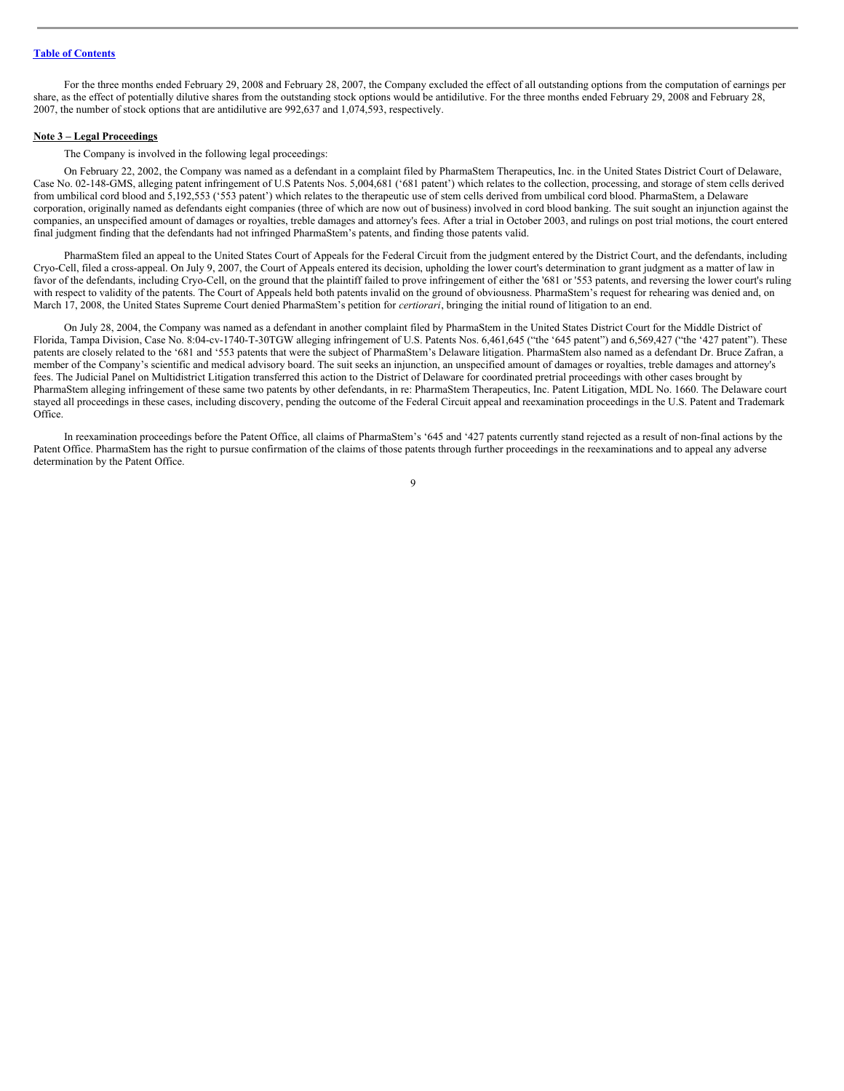For the three months ended February 29, 2008 and February 28, 2007, the Company excluded the effect of all outstanding options from the computation of earnings per share, as the effect of potentially dilutive shares from the outstanding stock options would be antidilutive. For the three months ended February 29, 2008 and February 28, 2007, the number of stock options that are antidilutive are 992,637 and 1,074,593, respectively.

#### **Note 3 – Legal Proceedings**

The Company is involved in the following legal proceedings:

On February 22, 2002, the Company was named as a defendant in a complaint filed by PharmaStem Therapeutics, Inc. in the United States District Court of Delaware, Case No. 02-148-GMS, alleging patent infringement of U.S Patents Nos. 5,004,681 ('681 patent') which relates to the collection, processing, and storage of stem cells derived from umbilical cord blood and 5,192,553 ('553 patent') which relates to the therapeutic use of stem cells derived from umbilical cord blood. PharmaStem, a Delaware corporation, originally named as defendants eight companies (three of which are now out of business) involved in cord blood banking. The suit sought an injunction against the companies, an unspecified amount of damages or royalties, treble damages and attorney's fees. After a trial in October 2003, and rulings on post trial motions, the court entered final judgment finding that the defendants had not infringed PharmaStem's patents, and finding those patents valid.

PharmaStem filed an appeal to the United States Court of Appeals for the Federal Circuit from the judgment entered by the District Court, and the defendants, including Cryo-Cell, filed a cross-appeal. On July 9, 2007, the Court of Appeals entered its decision, upholding the lower court's determination to grant judgment as a matter of law in favor of the defendants, including Cryo-Cell, on the ground that the plaintiff failed to prove infringement of either the '681 or '553 patents, and reversing the lower court's ruling with respect to validity of the patents. The Court of Appeals held both patents invalid on the ground of obviousness. PharmaStem's request for rehearing was denied and, on March 17, 2008, the United States Supreme Court denied PharmaStem's petition for *certiorari*, bringing the initial round of litigation to an end.

On July 28, 2004, the Company was named as a defendant in another complaint filed by PharmaStem in the United States District Court for the Middle District of Florida, Tampa Division, Case No. 8:04-cv-1740-T-30TGW alleging infringement of U.S. Patents Nos. 6,461,645 ("the '645 patent") and 6,569,427 ("the '427 patent"). These patents are closely related to the '681 and '553 patents that were the subject of PharmaStem's Delaware litigation. PharmaStem also named as a defendant Dr. Bruce Zafran, a member of the Company's scientific and medical advisory board. The suit seeks an injunction, an unspecified amount of damages or royalties, treble damages and attorney's fees. The Judicial Panel on Multidistrict Litigation transferred this action to the District of Delaware for coordinated pretrial proceedings with other cases brought by PharmaStem alleging infringement of these same two patents by other defendants, in re: PharmaStem Therapeutics, Inc. Patent Litigation, MDL No. 1660. The Delaware court stayed all proceedings in these cases, including discovery, pending the outcome of the Federal Circuit appeal and reexamination proceedings in the U.S. Patent and Trademark Office.

In reexamination proceedings before the Patent Office, all claims of PharmaStem's '645 and '427 patents currently stand rejected as a result of non-final actions by the Patent Office. PharmaStem has the right to pursue confirmation of the claims of those patents through further proceedings in the reexaminations and to appeal any adverse determination by the Patent Office.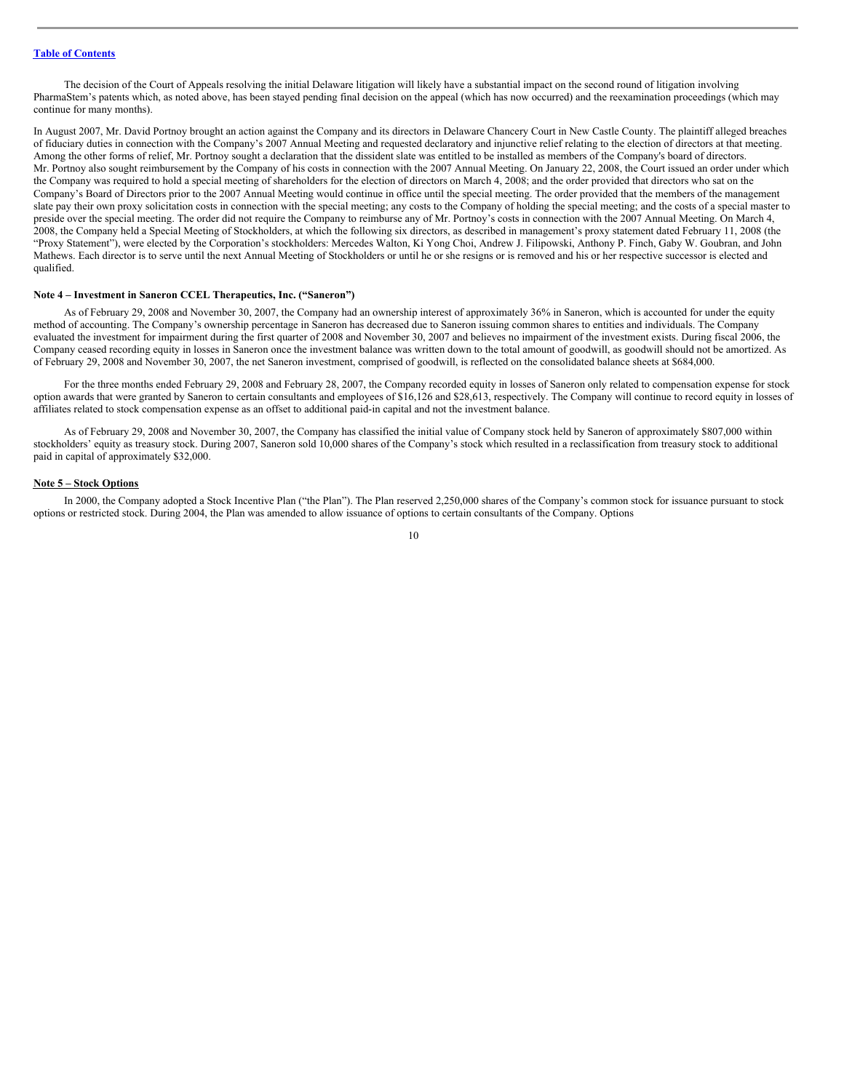The decision of the Court of Appeals resolving the initial Delaware litigation will likely have a substantial impact on the second round of litigation involving PharmaStem's patents which, as noted above, has been stayed pending final decision on the appeal (which has now occurred) and the reexamination proceedings (which may continue for many months).

In August 2007, Mr. David Portnoy brought an action against the Company and its directors in Delaware Chancery Court in New Castle County. The plaintiff alleged breaches of fiduciary duties in connection with the Company's 2007 Annual Meeting and requested declaratory and injunctive relief relating to the election of directors at that meeting. Among the other forms of relief, Mr. Portnoy sought a declaration that the dissident slate was entitled to be installed as members of the Company's board of directors. Mr. Portnoy also sought reimbursement by the Company of his costs in connection with the 2007 Annual Meeting. On January 22, 2008, the Court issued an order under which the Company was required to hold a special meeting of shareholders for the election of directors on March 4, 2008; and the order provided that directors who sat on the Company's Board of Directors prior to the 2007 Annual Meeting would continue in office until the special meeting. The order provided that the members of the management slate pay their own proxy solicitation costs in connection with the special meeting; any costs to the Company of holding the special meeting; and the costs of a special master to preside over the special meeting. The order did not require the Company to reimburse any of Mr. Portnoy's costs in connection with the 2007 Annual Meeting. On March 4, 2008, the Company held a Special Meeting of Stockholders, at which the following six directors, as described in management's proxy statement dated February 11, 2008 (the "Proxy Statement"), were elected by the Corporation's stockholders: Mercedes Walton, Ki Yong Choi, Andrew J. Filipowski, Anthony P. Finch, Gaby W. Goubran, and John Mathews. Each director is to serve until the next Annual Meeting of Stockholders or until he or she resigns or is removed and his or her respective successor is elected and qualified.

#### **Note 4 – Investment in Saneron CCEL Therapeutics, Inc. ("Saneron")**

As of February 29, 2008 and November 30, 2007, the Company had an ownership interest of approximately 36% in Saneron, which is accounted for under the equity method of accounting. The Company's ownership percentage in Saneron has decreased due to Saneron issuing common shares to entities and individuals. The Company evaluated the investment for impairment during the first quarter of 2008 and November 30, 2007 and believes no impairment of the investment exists. During fiscal 2006, the Company ceased recording equity in losses in Saneron once the investment balance was written down to the total amount of goodwill, as goodwill should not be amortized. As of February 29, 2008 and November 30, 2007, the net Saneron investment, comprised of goodwill, is reflected on the consolidated balance sheets at \$684,000.

For the three months ended February 29, 2008 and February 28, 2007, the Company recorded equity in losses of Saneron only related to compensation expense for stock option awards that were granted by Saneron to certain consultants and employees of \$16,126 and \$28,613, respectively. The Company will continue to record equity in losses of affiliates related to stock compensation expense as an offset to additional paid-in capital and not the investment balance.

As of February 29, 2008 and November 30, 2007, the Company has classified the initial value of Company stock held by Saneron of approximately \$807,000 within stockholders' equity as treasury stock. During 2007, Saneron sold 10,000 shares of the Company's stock which resulted in a reclassification from treasury stock to additional paid in capital of approximately \$32,000.

#### **Note 5 – Stock Options**

In 2000, the Company adopted a Stock Incentive Plan ("the Plan"). The Plan reserved 2,250,000 shares of the Company's common stock for issuance pursuant to stock options or restricted stock. During 2004, the Plan was amended to allow issuance of options to certain consultants of the Company. Options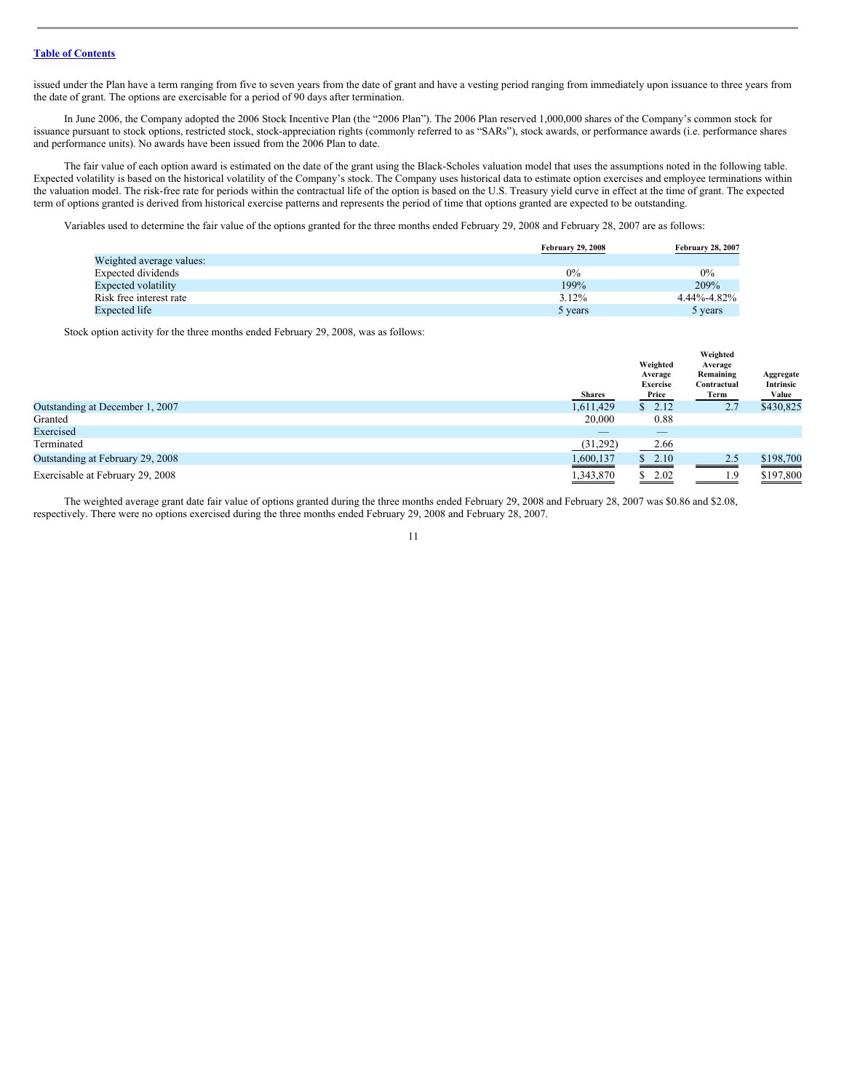issued under the Plan have a term ranging from five to seven years from the date of grant and have a vesting period ranging from immediately upon issuance to three years from the date of grant. The options are exercisable for a period of 90 days after termination.

In June 2006, the Company adopted the 2006 Stock Incentive Plan (the "2006 Plan"). The 2006 Plan reserved 1,000,000 shares of the Company's common stock for issuance pursuant to stock options, restricted stock, stock-appreciation rights (commonly referred to as "SARs"), stock awards, or performance awards (i.e. performance shares and performance units). No awards have been issued from the 2006 Plan to date.

The fair value of each option award is estimated on the date of the grant using the Black-Scholes valuation model that uses the assumptions noted in the following table. Expected volatility is based on the historical volatility of the Company's stock. The Company uses historical data to estimate option exercises and employee terminations within the valuation model. The risk-free rate for periods within the contractual life of the option is based on the U.S. Treasury yield curve in effect at the time of grant. The expected term of options granted is derived from historical exercise patterns and represents the period of time that options granted are expected to be outstanding.

Variables used to determine the fair value of the options granted for the three months ended February 29, 2008 and February 28, 2007 are as follows:

|                            | <b>February 29, 2008</b> | <b>February 28, 2007</b> |
|----------------------------|--------------------------|--------------------------|
| Weighted average values:   |                          |                          |
| Expected dividends         | $0\%$                    | 0%                       |
| <b>Expected volatility</b> | 199%                     | 209%                     |
| Risk free interest rate    | 3.12%                    | $4.44\% - 4.82\%$        |
| Expected life              | 5 years                  | 5 years                  |

Stock option activity for the three months ended February 29, 2008, was as follows:

|                                  | <b>Shares</b> | Weighted<br>Average<br><b>Exercise</b><br>Price | Weighted<br>Average<br>Remaining<br>Contractual<br>Term | Aggregate<br>Intrinsic<br>Value |
|----------------------------------|---------------|-------------------------------------------------|---------------------------------------------------------|---------------------------------|
| Outstanding at December 1, 2007  | 1,611,429     | \$2.12                                          | 2.7                                                     | \$430,825                       |
| Granted                          | 20,000        | 0.88                                            |                                                         |                                 |
| Exercised                        |               | $\overline{\phantom{a}}$                        |                                                         |                                 |
| Terminated                       | (31,292)      | 2.66                                            |                                                         |                                 |
| Outstanding at February 29, 2008 | 1,600,137     | \$2.10                                          | 2.5                                                     | \$198,700                       |
| Exercisable at February 29, 2008 | 1,343,870     | \$2.02                                          | 1.9                                                     | \$197,800                       |
|                                  |               |                                                 |                                                         |                                 |

The weighted average grant date fair value of options granted during the three months ended February 29, 2008 and February 28, 2007 was \$0.86 and \$2.08, respectively. There were no options exercised during the three months ended February 29, 2008 and February 28, 2007.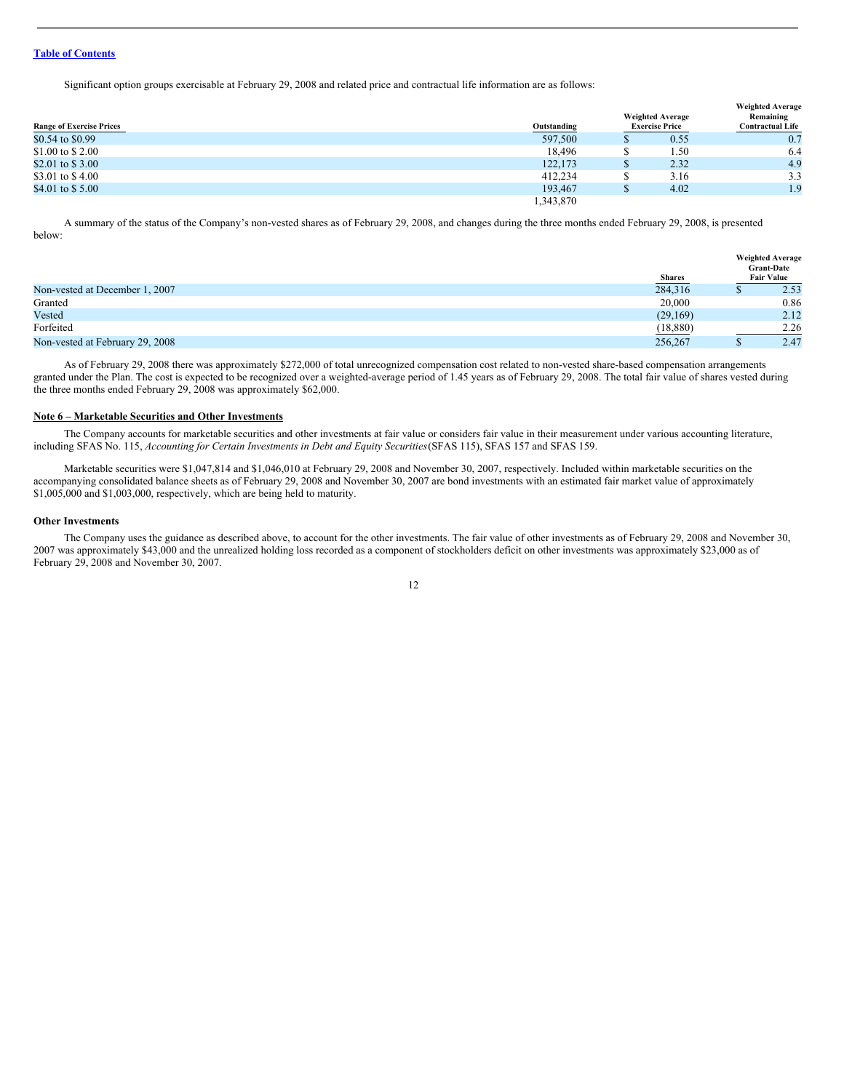Significant option groups exercisable at February 29, 2008 and related price and contractual life information are as follows:

| <b>Range of Exercise Prices</b> | Outstanding |    | <b>Weighted Average</b><br><b>Exercise Price</b> | <b>Weighted Average</b><br>Remaining<br><b>Contractual Life</b> |  |
|---------------------------------|-------------|----|--------------------------------------------------|-----------------------------------------------------------------|--|
| \$0.54 to \$0.99                | 597,500     | ۰υ | 0.55                                             | 0.7                                                             |  |
| \$1.00 to \$2.00                | 18.496      | ۰υ | 1.50                                             | 6.4                                                             |  |
| \$2.01 to \$3.00                | 122,173     | ۰υ | 2.32                                             | 4.9                                                             |  |
| \$3.01 to \$4.00                | 412.234     | ت  | 3.16                                             | 3.3                                                             |  |
| \$4.01 to \$5.00                | 193,467     | ل  | 4.02                                             | 1.9                                                             |  |
|                                 | 1.343.870   |    |                                                  |                                                                 |  |

A summary of the status of the Company's non-vested shares as of February 29, 2008, and changes during the three months ended February 29, 2008, is presented below:

|                                 | <b>Shares</b> | <b>Weighted Average</b><br><b>Grant-Date</b><br><b>Fair Value</b> |      |
|---------------------------------|---------------|-------------------------------------------------------------------|------|
| Non-vested at December 1, 2007  | 284,316       |                                                                   | 2.53 |
| Granted                         | 20,000        |                                                                   | 0.86 |
| Vested                          | (29,169)      |                                                                   | 2.12 |
| Forfeited                       | (18, 880)     |                                                                   | 2.26 |
| Non-vested at February 29, 2008 | 256,267       |                                                                   | 2.47 |

As of February 29, 2008 there was approximately \$272,000 of total unrecognized compensation cost related to non-vested share-based compensation arrangements granted under the Plan. The cost is expected to be recognized over a weighted-average period of 1.45 years as of February 29, 2008. The total fair value of shares vested during the three months ended February 29, 2008 was approximately \$62,000.

#### **Note 6 – Marketable Securities and Other Investments**

The Company accounts for marketable securities and other investments at fair value or considers fair value in their measurement under various accounting literature, including SFAS No. 115, *Accounting for Certain Investments in Debt and Equity Securities*(SFAS 115), SFAS 157 and SFAS 159.

Marketable securities were \$1,047,814 and \$1,046,010 at February 29, 2008 and November 30, 2007, respectively. Included within marketable securities on the accompanying consolidated balance sheets as of February 29, 2008 and November 30, 2007 are bond investments with an estimated fair market value of approximately \$1,005,000 and \$1,003,000, respectively, which are being held to maturity.

#### **Other Investments**

The Company uses the guidance as described above, to account for the other investments. The fair value of other investments as of February 29, 2008 and November 30, 2007 was approximately \$43,000 and the unrealized holding loss recorded as a component of stockholders deficit on other investments was approximately \$23,000 as of February 29, 2008 and November 30, 2007.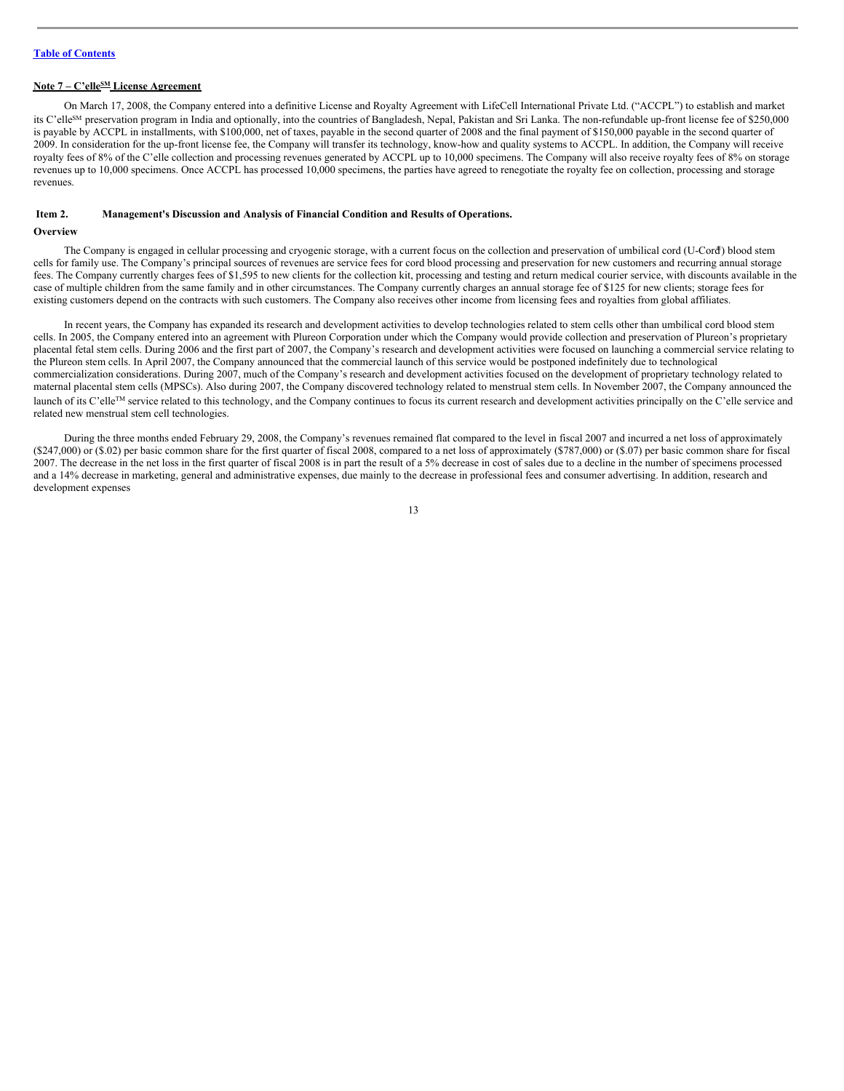#### **Note 7 – C'elle SM License Agreement**

On March 17, 2008, the Company entered into a definitive License and Royalty Agreement with LifeCell International Private Ltd. ("ACCPL") to establish and market its C'elle<sup>SM</sup> preservation program in India and optionally, into the countries of Bangladesh, Nepal, Pakistan and Sri Lanka. The non-refundable up-front license fee of \$250,000 is payable by ACCPL in installments, with \$100,000, net of taxes, payable in the second quarter of 2008 and the final payment of \$150,000 payable in the second quarter of 2009. In consideration for the up-front license fee, the Company will transfer its technology, know-how and quality systems to ACCPL. In addition, the Company will receive royalty fees of 8% of the C'elle collection and processing revenues generated by ACCPL up to 10,000 specimens. The Company will also receive royalty fees of 8% on storage revenues up to 10,000 specimens. Once ACCPL has processed 10,000 specimens, the parties have agreed to renegotiate the royalty fee on collection, processing and storage revenues.

#### <span id="page-12-0"></span>**Item 2. Management's Discussion and Analysis of Financial Condition and Results of Operations.**

#### **Overview**

The Company is engaged in cellular processing and cryogenic storage, with a current focus on the collection and preservation of umbilical cord (U-Cord ®) blood stem cells for family use. The Company's principal sources of revenues are service fees for cord blood processing and preservation for new customers and recurring annual storage fees. The Company currently charges fees of \$1,595 to new clients for the collection kit, processing and testing and return medical courier service, with discounts available in the case of multiple children from the same family and in other circumstances. The Company currently charges an annual storage fee of \$125 for new clients; storage fees for existing customers depend on the contracts with such customers. The Company also receives other income from licensing fees and royalties from global affiliates.

In recent years, the Company has expanded its research and development activities to develop technologies related to stem cells other than umbilical cord blood stem cells. In 2005, the Company entered into an agreement with Plureon Corporation under which the Company would provide collection and preservation of Plureon's proprietary placental fetal stem cells. During 2006 and the first part of 2007, the Company's research and development activities were focused on launching a commercial service relating to the Plureon stem cells. In April 2007, the Company announced that the commercial launch of this service would be postponed indefinitely due to technological commercialization considerations. During 2007, much of the Company's research and development activities focused on the development of proprietary technology related to maternal placental stem cells (MPSCs). Also during 2007, the Company discovered technology related to menstrual stem cells. In November 2007, the Company announced the launch of its C'elle<sup>™</sup> service related to this technology, and the Company continues to focus its current research and development activities principally on the C'elle service and related new menstrual stem cell technologies.

During the three months ended February 29, 2008, the Company's revenues remained flat compared to the level in fiscal 2007 and incurred a net loss of approximately (\$247,000) or (\$.02) per basic common share for the first quarter of fiscal 2008, compared to a net loss of approximately (\$787,000) or (\$.07) per basic common share for fiscal 2007. The decrease in the net loss in the first quarter of fiscal 2008 is in part the result of a 5% decrease in cost of sales due to a decline in the number of specimens processed and a 14% decrease in marketing, general and administrative expenses, due mainly to the decrease in professional fees and consumer advertising. In addition, research and development expenses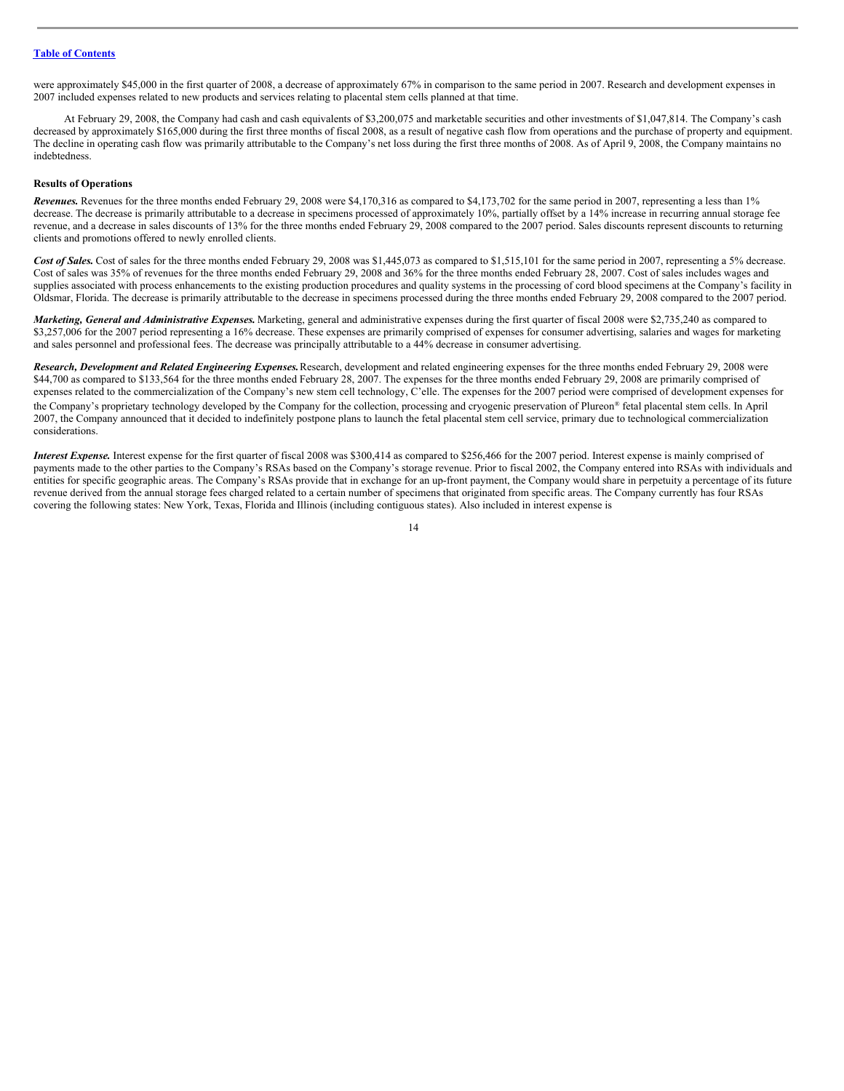were approximately \$45,000 in the first quarter of 2008, a decrease of approximately 67% in comparison to the same period in 2007. Research and development expenses in 2007 included expenses related to new products and services relating to placental stem cells planned at that time.

At February 29, 2008, the Company had cash and cash equivalents of \$3,200,075 and marketable securities and other investments of \$1,047,814. The Company's cash decreased by approximately \$165,000 during the first three months of fiscal 2008, as a result of negative cash flow from operations and the purchase of property and equipment. The decline in operating cash flow was primarily attributable to the Company's net loss during the first three months of 2008. As of April 9, 2008, the Company maintains no indebtedness.

#### **Results of Operations**

*Revenues.* Revenues for the three months ended February 29, 2008 were \$4,170,316 as compared to \$4,173,702 for the same period in 2007, representing a less than 1% decrease. The decrease is primarily attributable to a decrease in specimens processed of approximately 10%, partially offset by a 14% increase in recurring annual storage fee revenue, and a decrease in sales discounts of 13% for the three months ended February 29, 2008 compared to the 2007 period. Sales discounts represent discounts to returning clients and promotions offered to newly enrolled clients.

Cost of Sales. Cost of sales for the three months ended February 29, 2008 was \$1,445,073 as compared to \$1,515,101 for the same period in 2007, representing a 5% decrease. Cost of sales was 35% of revenues for the three months ended February 29, 2008 and 36% for the three months ended February 28, 2007. Cost of sales includes wages and supplies associated with process enhancements to the existing production procedures and quality systems in the processing of cord blood specimens at the Company's facility in Oldsmar, Florida. The decrease is primarily attributable to the decrease in specimens processed during the three months ended February 29, 2008 compared to the 2007 period.

*Marketing, General and Administrative Expenses.* Marketing, general and administrative expenses during the first quarter of fiscal 2008 were \$2,735,240 as compared to \$3,257,006 for the 2007 period representing a 16% decrease. These expenses are primarily comprised of expenses for consumer advertising, salaries and wages for marketing and sales personnel and professional fees. The decrease was principally attributable to a 44% decrease in consumer advertising.

*Research, Development and Related Engineering Expenses.*Research, development and related engineering expenses for the three months ended February 29, 2008 were \$44,700 as compared to \$133,564 for the three months ended February 28, 2007. The expenses for the three months ended February 29, 2008 are primarily comprised of expenses related to the commercialization of the Company's new stem cell technology, C'elle. The expenses for the 2007 period were comprised of development expenses for the Company's proprietary technology developed by the Company for the collection, processing and cryogenic preservation of Plureon ® fetal placental stem cells. In April 2007, the Company announced that it decided to indefinitely postpone plans to launch the fetal placental stem cell service, primary due to technological commercialization considerations.

*Interest Expense*. Interest expense for the first quarter of fiscal 2008 was \$300,414 as compared to \$256,466 for the 2007 period. Interest expense is mainly comprised of payments made to the other parties to the Company's RSAs based on the Company's storage revenue. Prior to fiscal 2002, the Company entered into RSAs with individuals and entities for specific geographic areas. The Company's RSAs provide that in exchange for an up-front payment, the Company would share in perpetuity a percentage of its future revenue derived from the annual storage fees charged related to a certain number of specimens that originated from specific areas. The Company currently has four RSAs covering the following states: New York, Texas, Florida and Illinois (including contiguous states). Also included in interest expense is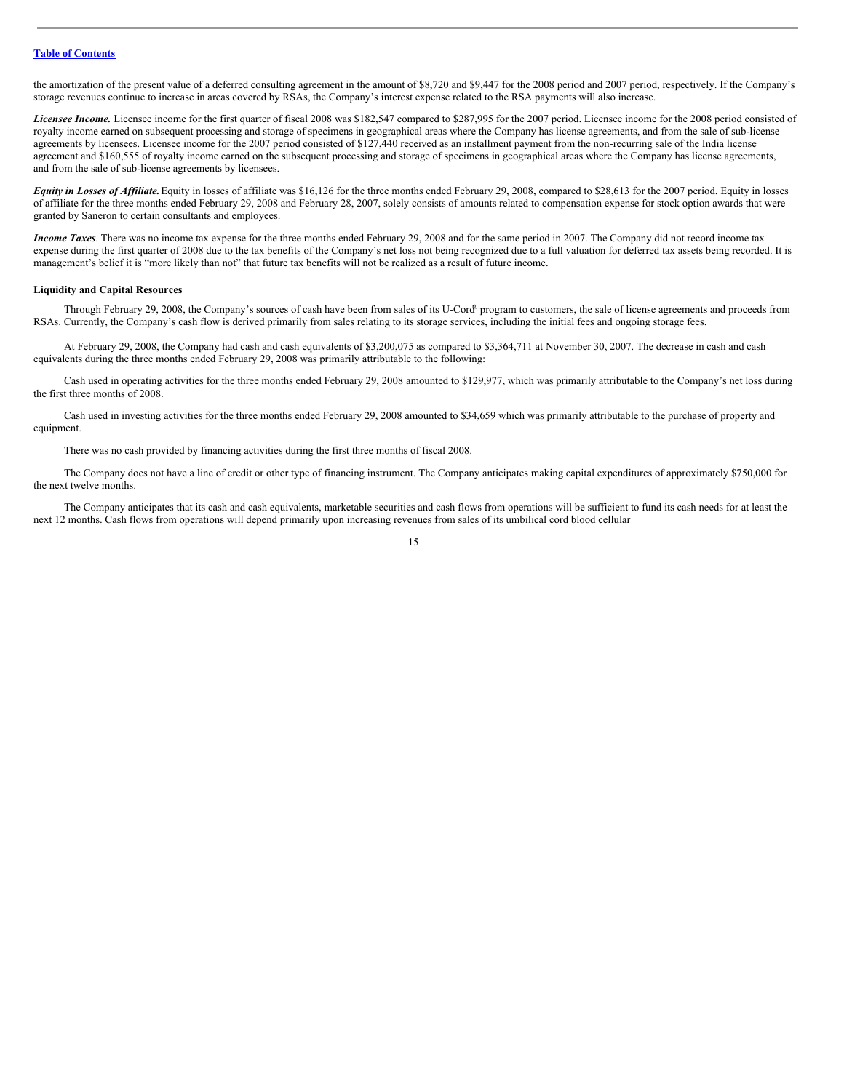the amortization of the present value of a deferred consulting agreement in the amount of \$8,720 and \$9,447 for the 2008 period and 2007 period, respectively. If the Company's storage revenues continue to increase in areas covered by RSAs, the Company's interest expense related to the RSA payments will also increase.

*Licensee Income.* Licensee income for the first quarter of fiscal 2008 was \$182,547 compared to \$287,995 for the 2007 period. Licensee income for the 2008 period consisted of royalty income earned on subsequent processing and storage of specimens in geographical areas where the Company has license agreements, and from the sale of sub-license agreements by licensees. Licensee income for the 2007 period consisted of \$127,440 received as an installment payment from the non-recurring sale of the India license agreement and \$160,555 of royalty income earned on the subsequent processing and storage of specimens in geographical areas where the Company has license agreements, and from the sale of sub-license agreements by licensees.

*Equity in Losses of Af iliate.*Equity in losses of affiliate was \$16,126 for the three months ended February 29, 2008, compared to \$28,613 for the 2007 period. Equity in losses of affiliate for the three months ended February 29, 2008 and February 28, 2007, solely consists of amounts related to compensation expense for stock option awards that were granted by Saneron to certain consultants and employees.

*Income Taxes*. There was no income tax expense for the three months ended February 29, 2008 and for the same period in 2007. The Company did not record income tax expense during the first quarter of 2008 due to the tax benefits of the Company's net loss not being recognized due to a full valuation for deferred tax assets being recorded. It is management's belief it is "more likely than not" that future tax benefits will not be realized as a result of future income.

#### **Liquidity and Capital Resources**

Through February 29, 2008, the Company's sources of cash have been from sales of its U-Cord ® program to customers, the sale of license agreements and proceeds from RSAs. Currently, the Company's cash flow is derived primarily from sales relating to its storage services, including the initial fees and ongoing storage fees.

At February 29, 2008, the Company had cash and cash equivalents of \$3,200,075 as compared to \$3,364,711 at November 30, 2007. The decrease in cash and cash equivalents during the three months ended February 29, 2008 was primarily attributable to the following:

Cash used in operating activities for the three months ended February 29, 2008 amounted to \$129,977, which was primarily attributable to the Company's net loss during the first three months of 2008.

Cash used in investing activities for the three months ended February 29, 2008 amounted to \$34,659 which was primarily attributable to the purchase of property and equipment.

There was no cash provided by financing activities during the first three months of fiscal 2008.

The Company does not have a line of credit or other type of financing instrument. The Company anticipates making capital expenditures of approximately \$750,000 for the next twelve months.

The Company anticipates that its cash and cash equivalents, marketable securities and cash flows from operations will be sufficient to fund its cash needs for at least the next 12 months. Cash flows from operations will depend primarily upon increasing revenues from sales of its umbilical cord blood cellular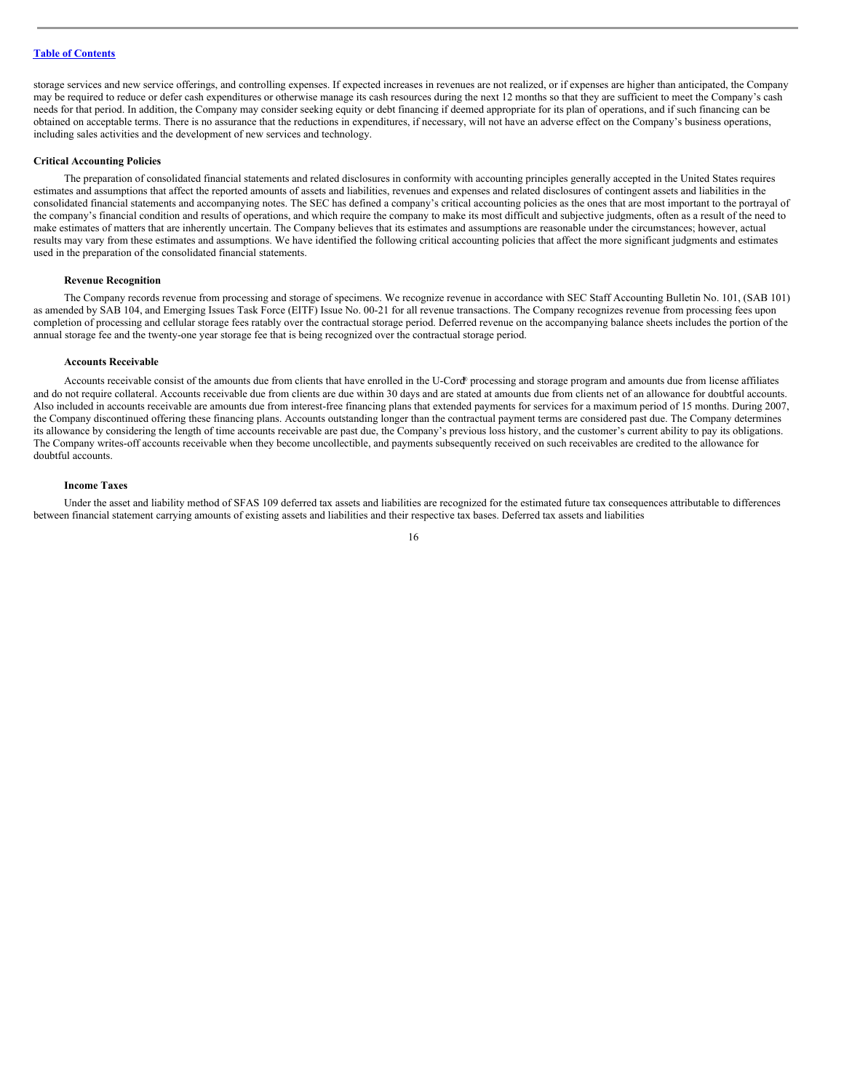storage services and new service offerings, and controlling expenses. If expected increases in revenues are not realized, or if expenses are higher than anticipated, the Company may be required to reduce or defer cash expenditures or otherwise manage its cash resources during the next 12 months so that they are sufficient to meet the Company's cash needs for that period. In addition, the Company may consider seeking equity or debt financing if deemed appropriate for its plan of operations, and if such financing can be obtained on acceptable terms. There is no assurance that the reductions in expenditures, if necessary, will not have an adverse effect on the Company's business operations, including sales activities and the development of new services and technology.

#### **Critical Accounting Policies**

The preparation of consolidated financial statements and related disclosures in conformity with accounting principles generally accepted in the United States requires estimates and assumptions that affect the reported amounts of assets and liabilities, revenues and expenses and related disclosures of contingent assets and liabilities in the consolidated financial statements and accompanying notes. The SEC has defined a company's critical accounting policies as the ones that are most important to the portrayal of the company's financial condition and results of operations, and which require the company to make its most difficult and subjective judgments, often as a result of the need to make estimates of matters that are inherently uncertain. The Company believes that its estimates and assumptions are reasonable under the circumstances; however, actual results may vary from these estimates and assumptions. We have identified the following critical accounting policies that affect the more significant judgments and estimates used in the preparation of the consolidated financial statements.

#### **Revenue Recognition**

The Company records revenue from processing and storage of specimens. We recognize revenue in accordance with SEC Staff Accounting Bulletin No. 101, (SAB 101) as amended by SAB 104, and Emerging Issues Task Force (EITF) Issue No. 00-21 for all revenue transactions. The Company recognizes revenue from processing fees upon completion of processing and cellular storage fees ratably over the contractual storage period. Deferred revenue on the accompanying balance sheets includes the portion of the annual storage fee and the twenty-one year storage fee that is being recognized over the contractual storage period.

#### **Accounts Receivable**

Accounts receivable consist of the amounts due from clients that have enrolled in the U-Cord® processing and storage program and amounts due from license affiliates and do not require collateral. Accounts receivable due from clients are due within 30 days and are stated at amounts due from clients net of an allowance for doubtful accounts. Also included in accounts receivable are amounts due from interest-free financing plans that extended payments for services for a maximum period of 15 months. During 2007, the Company discontinued offering these financing plans. Accounts outstanding longer than the contractual payment terms are considered past due. The Company determines its allowance by considering the length of time accounts receivable are past due, the Company's previous loss history, and the customer's current ability to pay its obligations. The Company writes-off accounts receivable when they become uncollectible, and payments subsequently received on such receivables are credited to the allowance for doubtful accounts.

#### **Income Taxes**

Under the asset and liability method of SFAS 109 deferred tax assets and liabilities are recognized for the estimated future tax consequences attributable to differences between financial statement carrying amounts of existing assets and liabilities and their respective tax bases. Deferred tax assets and liabilities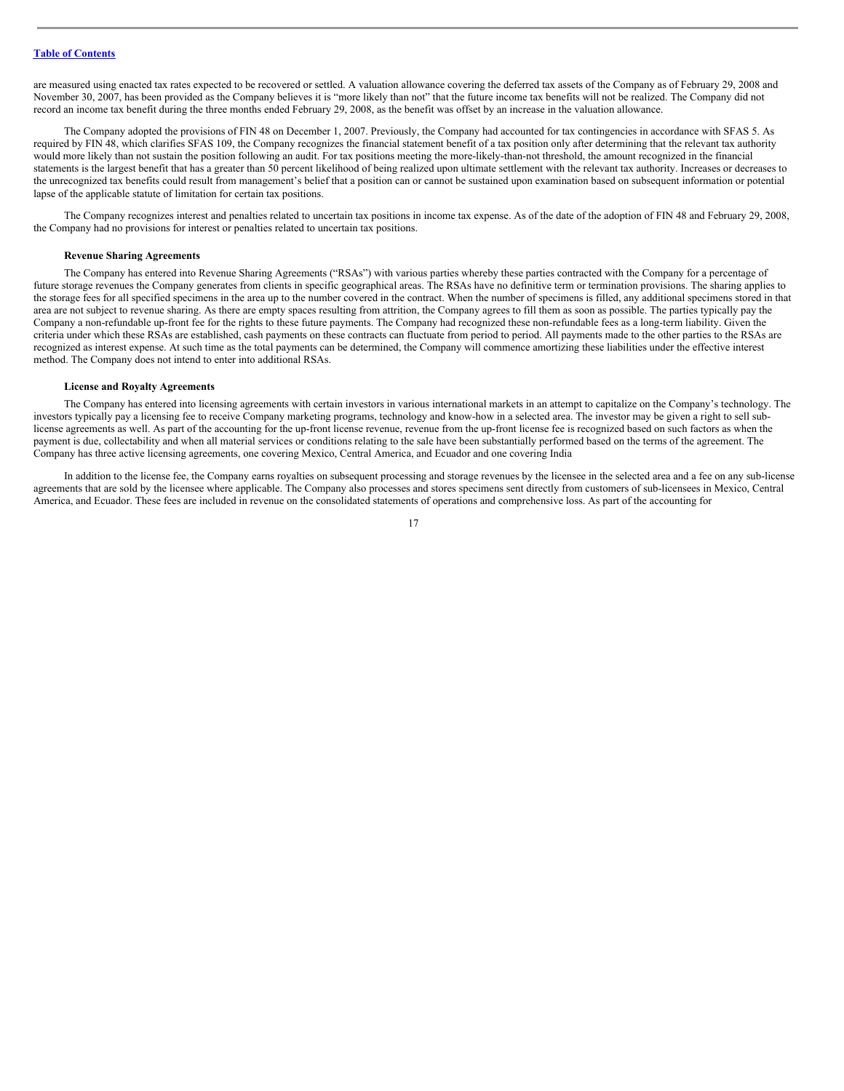are measured using enacted tax rates expected to be recovered or settled. A valuation allowance covering the deferred tax assets of the Company as of February 29, 2008 and November 30, 2007, has been provided as the Company believes it is "more likely than not" that the future income tax benefits will not be realized. The Company did not record an income tax benefit during the three months ended February 29, 2008, as the benefit was offset by an increase in the valuation allowance.

The Company adopted the provisions of FIN 48 on December 1, 2007. Previously, the Company had accounted for tax contingencies in accordance with SFAS 5. As required by FIN 48, which clarifies SFAS 109, the Company recognizes the financial statement benefit of a tax position only after determining that the relevant tax authority would more likely than not sustain the position following an audit. For tax positions meeting the more-likely-than-not threshold, the amount recognized in the financial statements is the largest benefit that has a greater than 50 percent likelihood of being realized upon ultimate settlement with the relevant tax authority. Increases or decreases to the unrecognized tax benefits could result from management's belief that a position can or cannot be sustained upon examination based on subsequent information or potential lapse of the applicable statute of limitation for certain tax positions.

The Company recognizes interest and penalties related to uncertain tax positions in income tax expense. As of the date of the adoption of FIN 48 and February 29, 2008, the Company had no provisions for interest or penalties related to uncertain tax positions.

#### **Revenue Sharing Agreements**

The Company has entered into Revenue Sharing Agreements ("RSAs") with various parties whereby these parties contracted with the Company for a percentage of future storage revenues the Company generates from clients in specific geographical areas. The RSAs have no definitive term or termination provisions. The sharing applies to the storage fees for all specified specimens in the area up to the number covered in the contract. When the number of specimens is filled, any additional specimens stored in that area are not subject to revenue sharing. As there are empty spaces resulting from attrition, the Company agrees to fill them as soon as possible. The parties typically pay the Company a non-refundable up-front fee for the rights to these future payments. The Company had recognized these non-refundable fees as a long-term liability. Given the criteria under which these RSAs are established, cash payments on these contracts can fluctuate from period to period. All payments made to the other parties to the RSAs are recognized as interest expense. At such time as the total payments can be determined, the Company will commence amortizing these liabilities under the effective interest method. The Company does not intend to enter into additional RSAs.

#### **License and Royalty Agreements**

The Company has entered into licensing agreements with certain investors in various international markets in an attempt to capitalize on the Company's technology. The investors typically pay a licensing fee to receive Company marketing programs, technology and know-how in a selected area. The investor may be given a right to sell sublicense agreements as well. As part of the accounting for the up-front license revenue, revenue from the up-front license fee is recognized based on such factors as when the payment is due, collectability and when all material services or conditions relating to the sale have been substantially performed based on the terms of the agreement. The Company has three active licensing agreements, one covering Mexico, Central America, and Ecuador and one covering India

In addition to the license fee, the Company earns royalties on subsequent processing and storage revenues by the licensee in the selected area and a fee on any sub-license agreements that are sold by the licensee where applicable. The Company also processes and stores specimens sent directly from customers of sub-licensees in Mexico, Central America, and Ecuador. These fees are included in revenue on the consolidated statements of operations and comprehensive loss. As part of the accounting for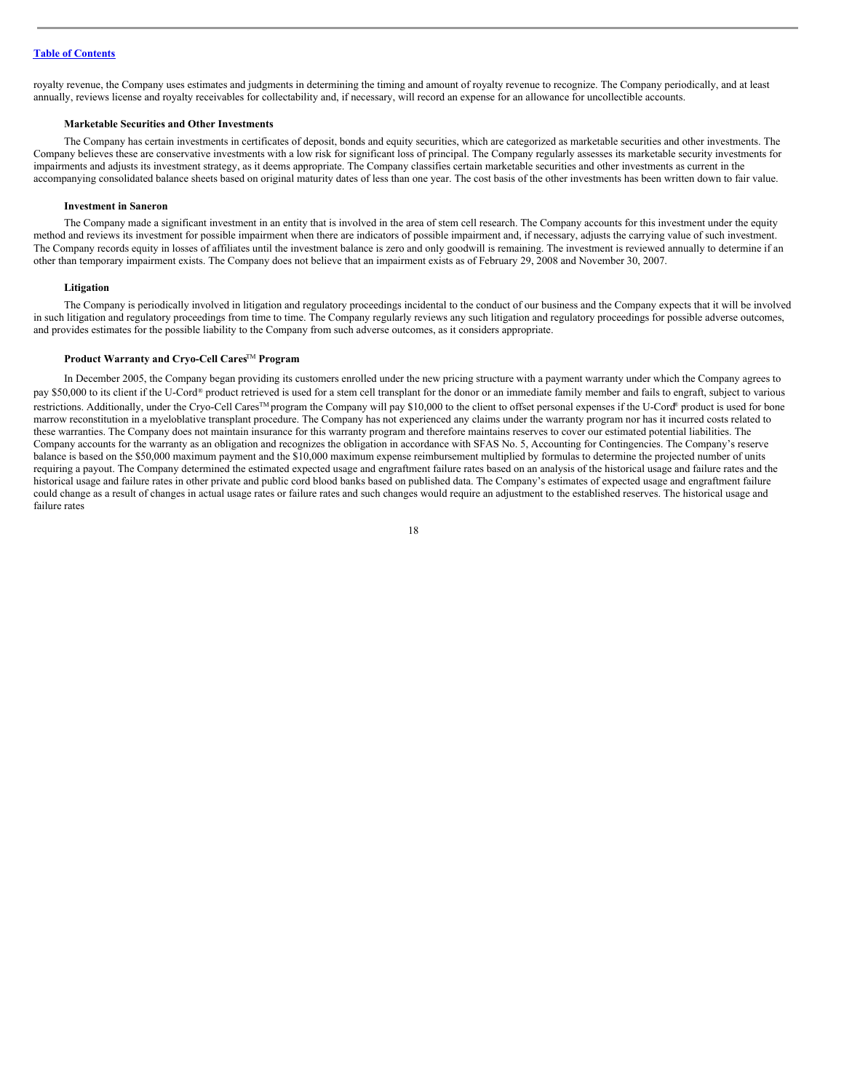royalty revenue, the Company uses estimates and judgments in determining the timing and amount of royalty revenue to recognize. The Company periodically, and at least annually, reviews license and royalty receivables for collectability and, if necessary, will record an expense for an allowance for uncollectible accounts.

#### **Marketable Securities and Other Investments**

The Company has certain investments in certificates of deposit, bonds and equity securities, which are categorized as marketable securities and other investments. The Company believes these are conservative investments with a low risk for significant loss of principal. The Company regularly assesses its marketable security investments for impairments and adjusts its investment strategy, as it deems appropriate. The Company classifies certain marketable securities and other investments as current in the accompanying consolidated balance sheets based on original maturity dates of less than one year. The cost basis of the other investments has been written down to fair value.

#### **Investment in Saneron**

The Company made a significant investment in an entity that is involved in the area of stem cell research. The Company accounts for this investment under the equity method and reviews its investment for possible impairment when there are indicators of possible impairment and, if necessary, adjusts the carrying value of such investment. The Company records equity in losses of affiliates until the investment balance is zero and only goodwill is remaining. The investment is reviewed annually to determine if an other than temporary impairment exists. The Company does not believe that an impairment exists as of February 29, 2008 and November 30, 2007.

#### **Litigation**

The Company is periodically involved in litigation and regulatory proceedings incidental to the conduct of our business and the Company expects that it will be involved in such litigation and regulatory proceedings from time to time. The Company regularly reviews any such litigation and regulatory proceedings for possible adverse outcomes, and provides estimates for the possible liability to the Company from such adverse outcomes, as it considers appropriate.

#### **Product Warranty and Cryo-Cell Cares** TM **Program**

In December 2005, the Company began providing its customers enrolled under the new pricing structure with a payment warranty under which the Company agrees to pay \$50,000 to its client if the U-Cord® product retrieved is used for a stem cell transplant for the donor or an immediate family member and fails to engraft, subject to various restrictions. Additionally, under the Cryo-Cell Cares<sup>™</sup> program the Company will pay \$10,000 to the client to offset personal expenses if the U-Cord® product is used for bone marrow reconstitution in a myeloblative transplant procedure. The Company has not experienced any claims under the warranty program nor has it incurred costs related to these warranties. The Company does not maintain insurance for this warranty program and therefore maintains reserves to cover our estimated potential liabilities. The Company accounts for the warranty as an obligation and recognizes the obligation in accordance with SFAS No. 5, Accounting for Contingencies. The Company's reserve balance is based on the \$50,000 maximum payment and the \$10,000 maximum expense reimbursement multiplied by formulas to determine the projected number of units requiring a payout. The Company determined the estimated expected usage and engraftment failure rates based on an analysis of the historical usage and failure rates and the historical usage and failure rates in other private and public cord blood banks based on published data. The Company's estimates of expected usage and engraftment failure could change as a result of changes in actual usage rates or failure rates and such changes would require an adjustment to the established reserves. The historical usage and failure rates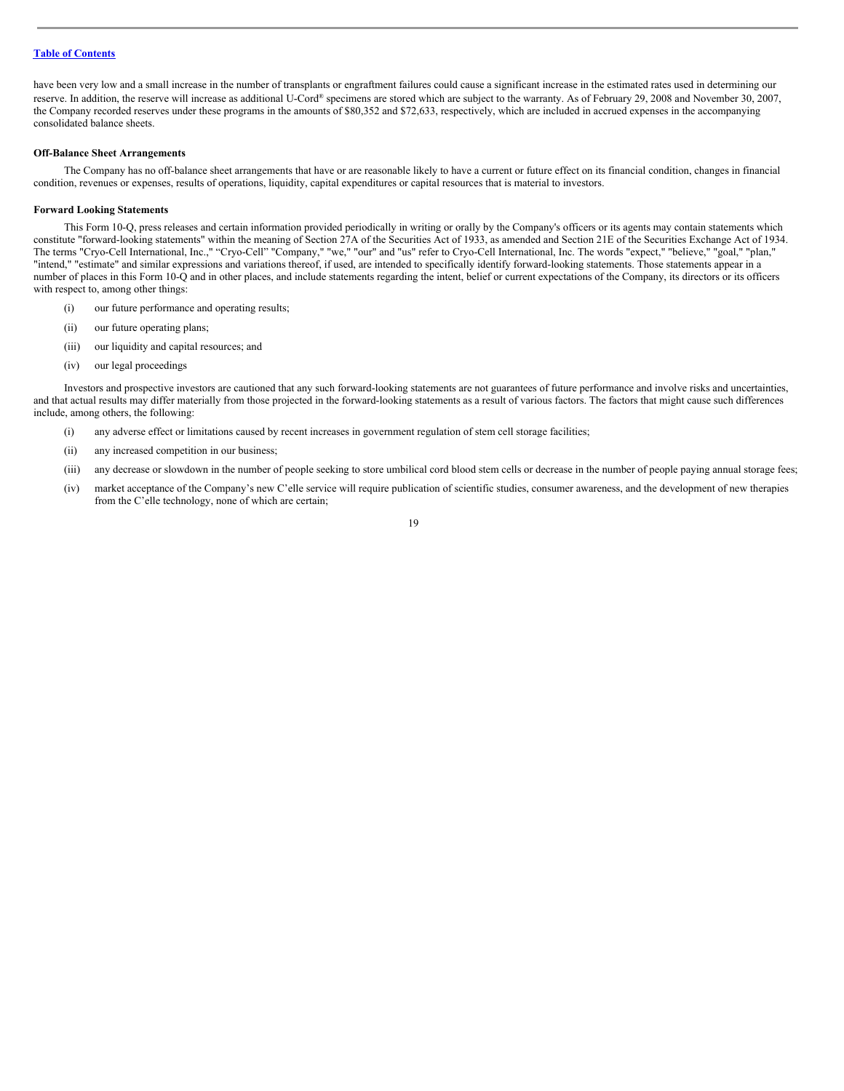have been very low and a small increase in the number of transplants or engraftment failures could cause a significant increase in the estimated rates used in determining our reserve. In addition, the reserve will increase as additional U-Cord® specimens are stored which are subject to the warranty. As of February 29, 2008 and November 30, 2007, the Company recorded reserves under these programs in the amounts of \$80,352 and \$72,633, respectively, which are included in accrued expenses in the accompanying consolidated balance sheets.

#### **Off-Balance Sheet Arrangements**

The Company has no off-balance sheet arrangements that have or are reasonable likely to have a current or future effect on its financial condition, changes in financial condition, revenues or expenses, results of operations, liquidity, capital expenditures or capital resources that is material to investors.

#### **Forward Looking Statements**

This Form 10-Q, press releases and certain information provided periodically in writing or orally by the Company's officers or its agents may contain statements which constitute "forward-looking statements" within the meaning of Section 27A of the Securities Act of 1933, as amended and Section 21E of the Securities Exchange Act of 1934. The terms "Cryo-Cell International, Inc.," "Cryo-Cell" "Company," "we," "our" and "us" refer to Cryo-Cell International, Inc. The words "expect," "believe," "goal," "plan," "intend," "estimate" and similar expressions and variations thereof, if used, are intended to specifically identify forward-looking statements. Those statements appear in a number of places in this Form 10-Q and in other places, and include statements regarding the intent, belief or current expectations of the Company, its directors or its officers with respect to, among other things:

- (i) our future performance and operating results;
- (ii) our future operating plans;
- (iii) our liquidity and capital resources; and
- (iv) our legal proceedings

Investors and prospective investors are cautioned that any such forward-looking statements are not guarantees of future performance and involve risks and uncertainties, and that actual results may differ materially from those projected in the forward-looking statements as a result of various factors. The factors that might cause such differences include, among others, the following:

- (i) any adverse effect or limitations caused by recent increases in government regulation of stem cell storage facilities;
- (ii) any increased competition in our business;
- (iii) any decrease or slowdown in the number of people seeking to store umbilical cord blood stem cells or decrease in the number of people paying annual storage fees;
- (iv) market acceptance of the Company's new C'elle service will require publication of scientific studies, consumer awareness, and the development of new therapies from the C'elle technology, none of which are certain;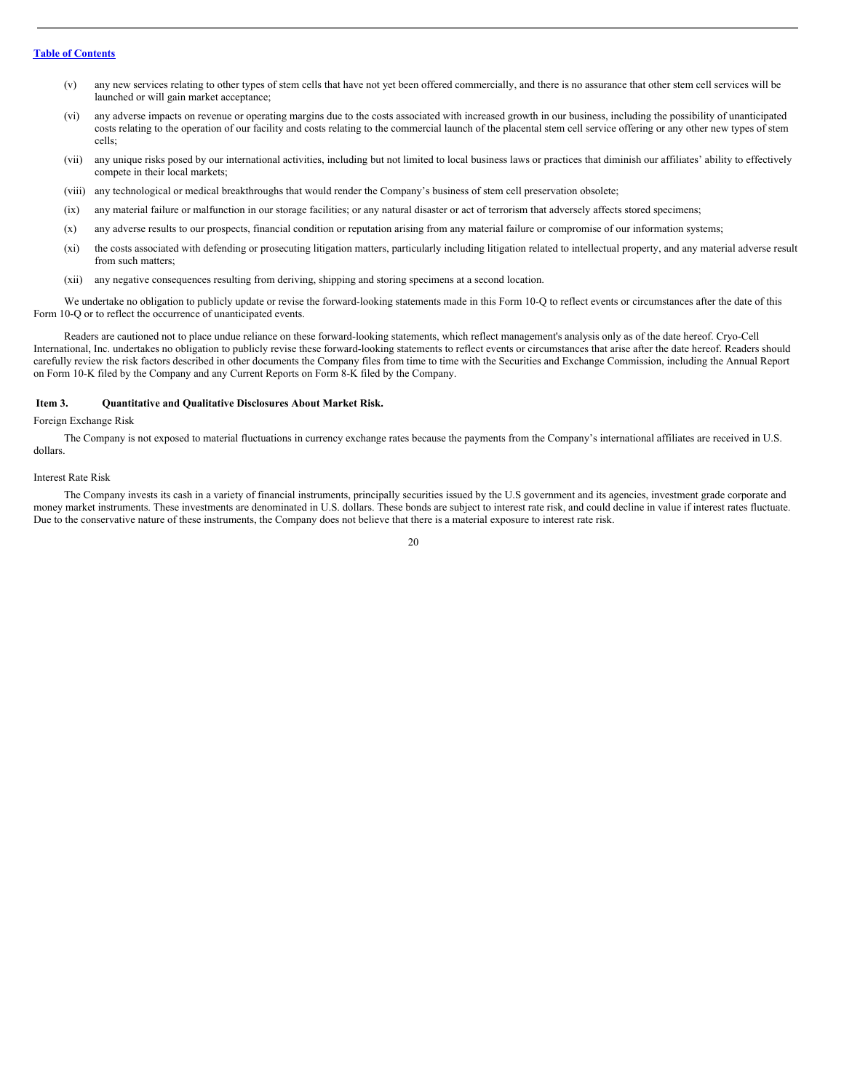- (v) any new services relating to other types of stem cells that have not yet been offered commercially, and there is no assurance that other stem cell services will be launched or will gain market acceptance;
- (vi) any adverse impacts on revenue or operating margins due to the costs associated with increased growth in our business, including the possibility of unanticipated costs relating to the operation of our facility and costs relating to the commercial launch of the placental stem cell service offering or any other new types of stem cells;
- (vii) any unique risks posed by our international activities, including but not limited to local business laws or practices that diminish our affiliates' ability to effectively compete in their local markets;
- (viii) any technological or medical breakthroughs that would render the Company's business of stem cell preservation obsolete;
- (ix) any material failure or malfunction in our storage facilities; or any natural disaster or act of terrorism that adversely affects stored specimens;
- (x) any adverse results to our prospects, financial condition or reputation arising from any material failure or compromise of our information systems;
- (xi) the costs associated with defending or prosecuting litigation matters, particularly including litigation related to intellectual property, and any material adverse result from such matters;
- (xii) any negative consequences resulting from deriving, shipping and storing specimens at a second location.

We undertake no obligation to publicly update or revise the forward-looking statements made in this Form 10-Q to reflect events or circumstances after the date of this Form 10-Q or to reflect the occurrence of unanticipated events.

Readers are cautioned not to place undue reliance on these forward-looking statements, which reflect management's analysis only as of the date hereof. Cryo-Cell International, Inc. undertakes no obligation to publicly revise these forward-looking statements to reflect events or circumstances that arise after the date hereof. Readers should carefully review the risk factors described in other documents the Company files from time to time with the Securities and Exchange Commission, including the Annual Report on Form 10-K filed by the Company and any Current Reports on Form 8-K filed by the Company.

#### <span id="page-19-0"></span>**Item 3. Quantitative and Qualitative Disclosures About Market Risk.**

#### Foreign Exchange Risk

The Company is not exposed to material fluctuations in currency exchange rates because the payments from the Company's international affiliates are received in U.S. dollars.

#### Interest Rate Risk

The Company invests its cash in a variety of financial instruments, principally securities issued by the U.S government and its agencies, investment grade corporate and money market instruments. These investments are denominated in U.S. dollars. These bonds are subject to interest rate risk, and could decline in value if interest rates fluctuate. Due to the conservative nature of these instruments, the Company does not believe that there is a material exposure to interest rate risk.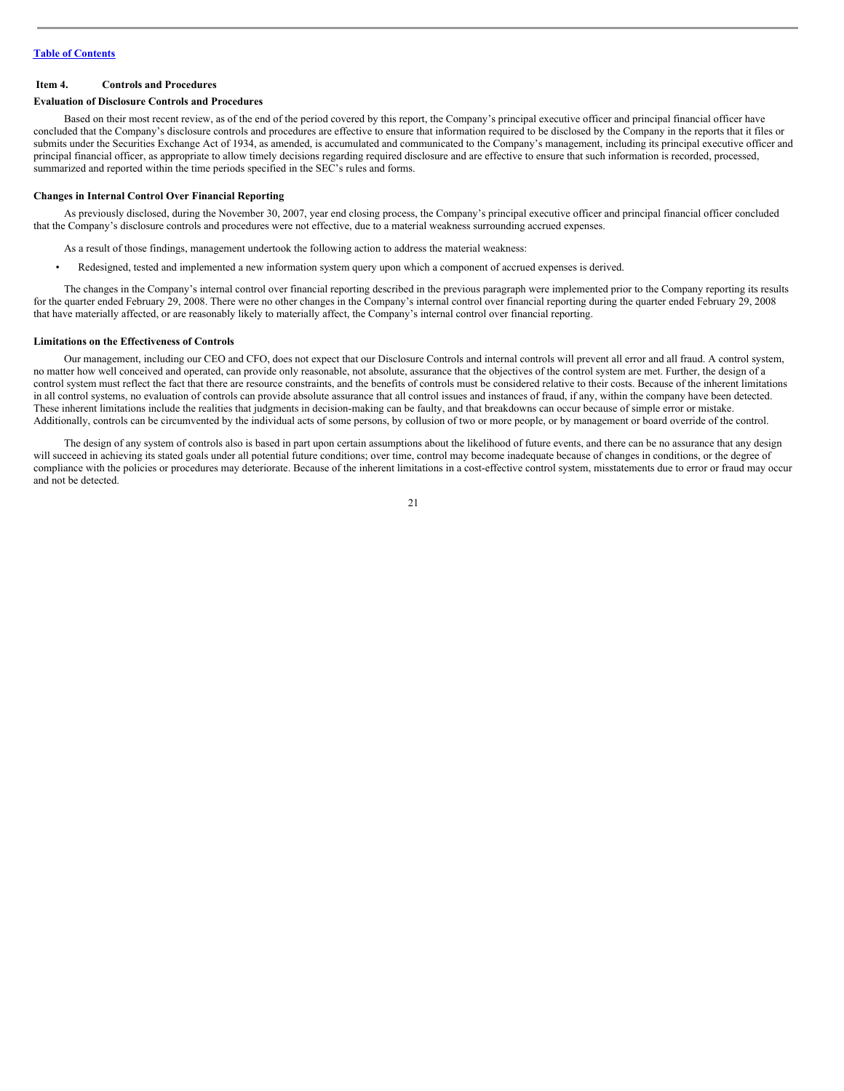#### <span id="page-20-0"></span>**Item 4. Controls and Procedures**

#### **Evaluation of Disclosure Controls and Procedures**

Based on their most recent review, as of the end of the period covered by this report, the Company's principal executive officer and principal financial officer have concluded that the Company's disclosure controls and procedures are effective to ensure that information required to be disclosed by the Company in the reports that it files or submits under the Securities Exchange Act of 1934, as amended, is accumulated and communicated to the Company's management, including its principal executive officer and principal financial officer, as appropriate to allow timely decisions regarding required disclosure and are effective to ensure that such information is recorded, processed, summarized and reported within the time periods specified in the SEC's rules and forms.

#### **Changes in Internal Control Over Financial Reporting**

As previously disclosed, during the November 30, 2007, year end closing process, the Company's principal executive officer and principal financial officer concluded that the Company's disclosure controls and procedures were not effective, due to a material weakness surrounding accrued expenses.

- As a result of those findings, management undertook the following action to address the material weakness:
- Redesigned, tested and implemented a new information system query upon which a component of accrued expenses is derived.

The changes in the Company's internal control over financial reporting described in the previous paragraph were implemented prior to the Company reporting its results for the quarter ended February 29, 2008. There were no other changes in the Company's internal control over financial reporting during the quarter ended February 29, 2008 that have materially affected, or are reasonably likely to materially affect, the Company's internal control over financial reporting.

#### **Limitations on the Effectiveness of Controls**

Our management, including our CEO and CFO, does not expect that our Disclosure Controls and internal controls will prevent all error and all fraud. A control system, no matter how well conceived and operated, can provide only reasonable, not absolute, assurance that the objectives of the control system are met. Further, the design of a control system must reflect the fact that there are resource constraints, and the benefits of controls must be considered relative to their costs. Because of the inherent limitations in all control systems, no evaluation of controls can provide absolute assurance that all control issues and instances of fraud, if any, within the company have been detected. These inherent limitations include the realities that judgments in decision-making can be faulty, and that breakdowns can occur because of simple error or mistake. Additionally, controls can be circumvented by the individual acts of some persons, by collusion of two or more people, or by management or board override of the control.

The design of any system of controls also is based in part upon certain assumptions about the likelihood of future events, and there can be no assurance that any design will succeed in achieving its stated goals under all potential future conditions; over time, control may become inadequate because of changes in conditions, or the degree of compliance with the policies or procedures may deteriorate. Because of the inherent limitations in a cost-effective control system, misstatements due to error or fraud may occur and not be detected.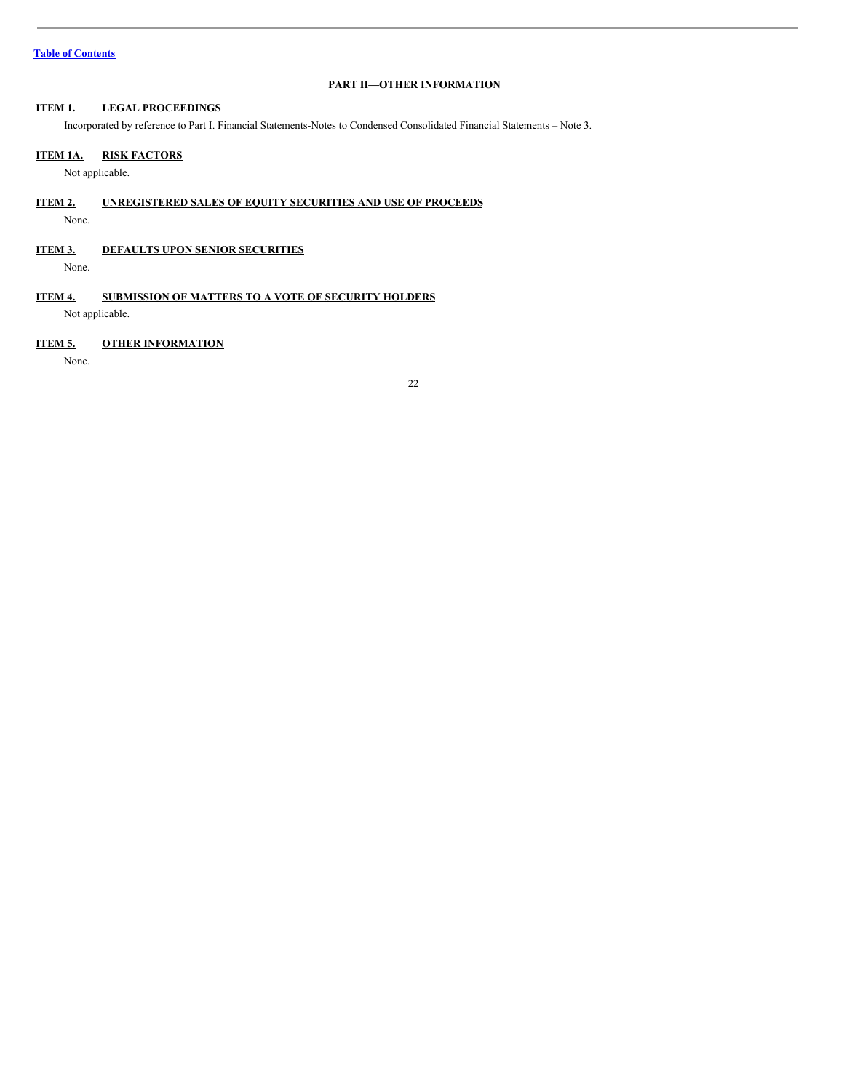## <span id="page-21-0"></span>**PART II—OTHER INFORMATION**

### <span id="page-21-1"></span>**ITEM 1. LEGAL PROCEEDINGS**

Incorporated by reference to Part I. Financial Statements-Notes to Condensed Consolidated Financial Statements – Note 3.

#### <span id="page-21-2"></span>**ITEM 1A. RISK FACTORS**

Not applicable.

- <span id="page-21-3"></span>**ITEM 2. UNREGISTERED SALES OF EQUITY SECURITIES AND USE OF PROCEEDS**
	- None.
- <span id="page-21-4"></span>**ITEM 3. DEFAULTS UPON SENIOR SECURITIES**

None.

## <span id="page-21-5"></span>**ITEM 4. SUBMISSION OF MATTERS TO A VOTE OF SECURITY HOLDERS**

Not applicable.

## <span id="page-21-6"></span>**ITEM 5. OTHER INFORMATION**

None.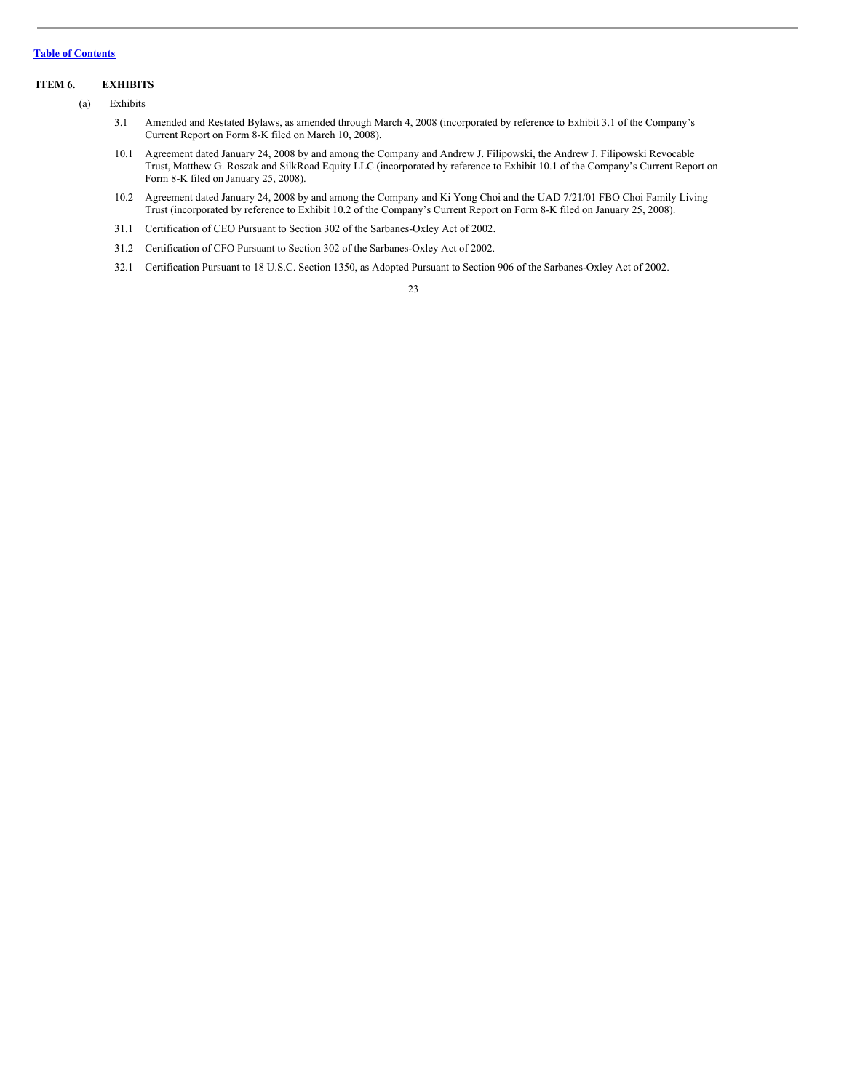## <span id="page-22-0"></span>**ITEM 6. EXHIBITS**

(a) Exhibits

- 3.1 Amended and Restated Bylaws, as amended through March 4, 2008 (incorporated by reference to Exhibit 3.1 of the Company's Current Report on Form 8-K filed on March 10, 2008).
- 10.1 Agreement dated January 24, 2008 by and among the Company and Andrew J. Filipowski, the Andrew J. Filipowski Revocable Trust, Matthew G. Roszak and SilkRoad Equity LLC (incorporated by reference to Exhibit 10.1 of the Company's Current Report on Form 8-K filed on January 25, 2008).
- 10.2 Agreement dated January 24, 2008 by and among the Company and Ki Yong Choi and the UAD 7/21/01 FBO Choi Family Living Trust (incorporated by reference to Exhibit 10.2 of the Company's Current Report on Form 8-K filed on January 25, 2008).
- 31.1 Certification of CEO Pursuant to Section 302 of the Sarbanes-Oxley Act of 2002.
- 31.2 Certification of CFO Pursuant to Section 302 of the Sarbanes-Oxley Act of 2002.
- 32.1 Certification Pursuant to 18 U.S.C. Section 1350, as Adopted Pursuant to Section 906 of the Sarbanes-Oxley Act of 2002.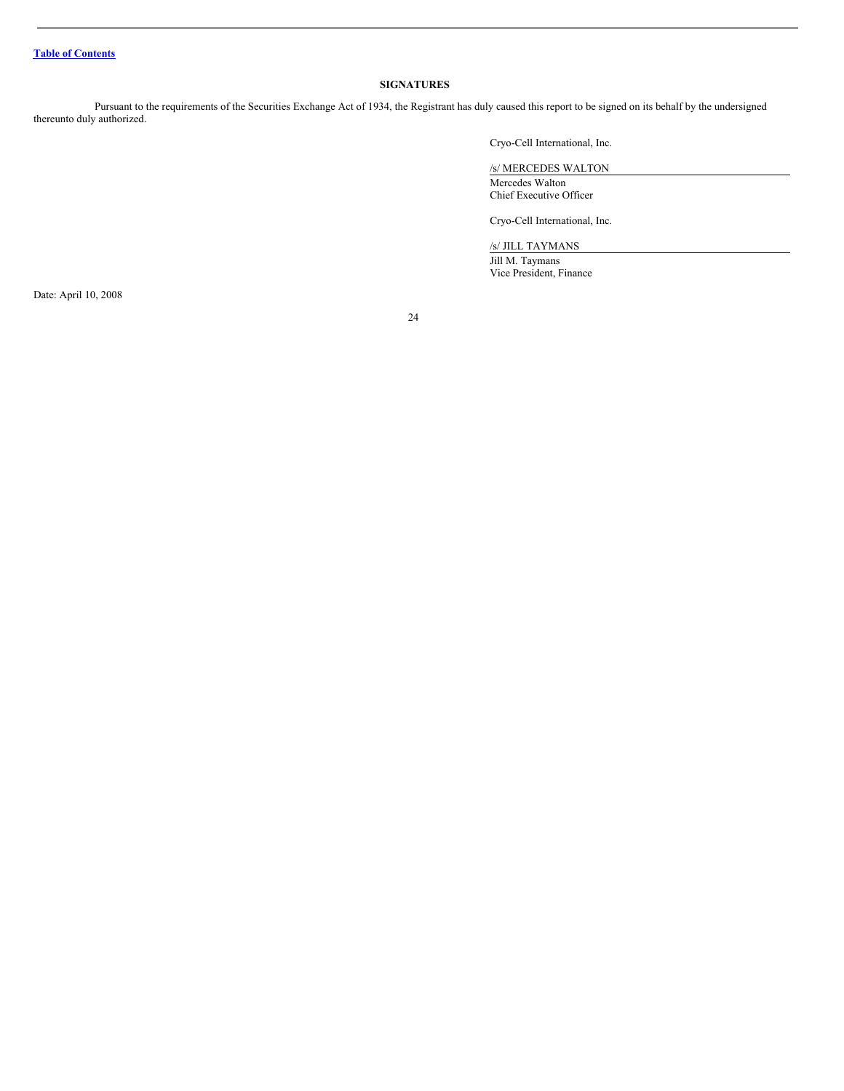#### <span id="page-23-0"></span>**SIGNATURES**

Pursuant to the requirements of the Securities Exchange Act of 1934, the Registrant has duly caused this report to be signed on its behalf by the undersigned thereunto duly authorized.

Cryo-Cell International, Inc.

/s/ MERCEDES WALTON Mercedes Walton Chief Executive Officer

Cryo-Cell International, Inc.

/s/ JILL TAYMANS

Jill M. Taymans Vice President, Finance

Date: April 10, 2008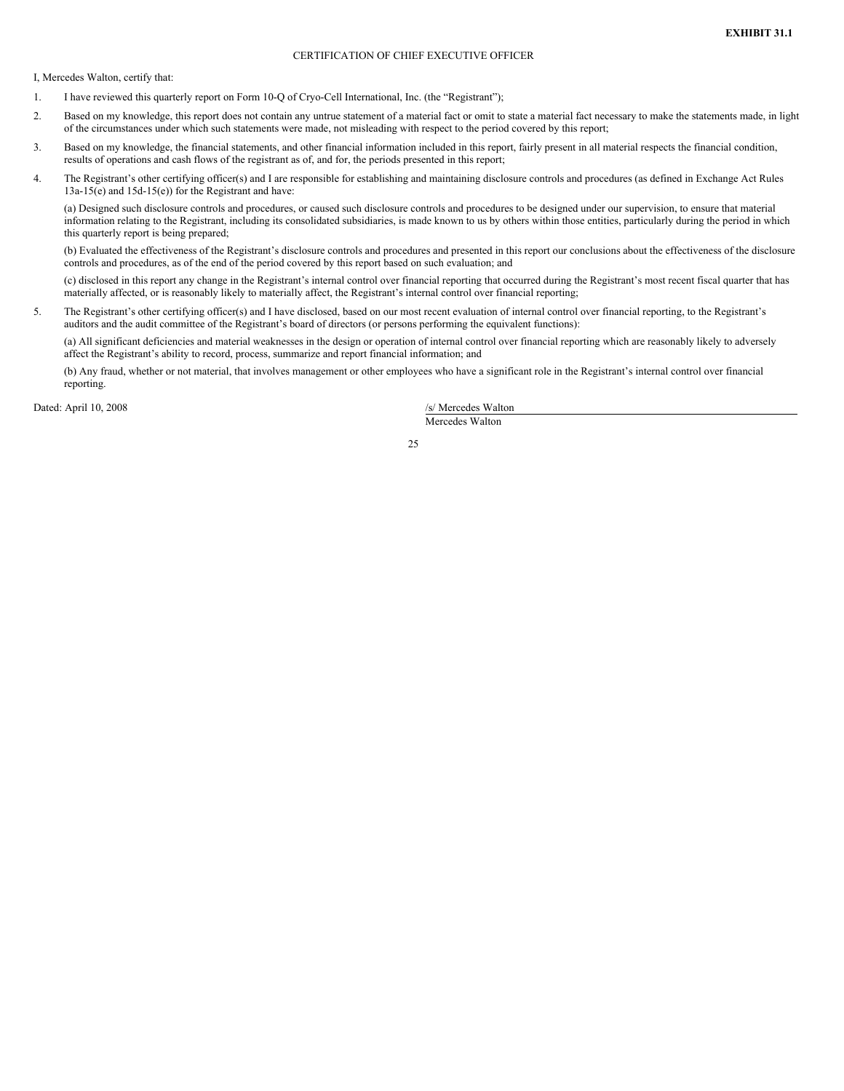## CERTIFICATION OF CHIEF EXECUTIVE OFFICER

I, Mercedes Walton, certify that:

- 1. I have reviewed this quarterly report on Form 10-Q of Cryo-Cell International, Inc. (the "Registrant");
- 2. Based on my knowledge, this report does not contain any untrue statement of a material fact or omit to state a material fact necessary to make the statements made, in light of the circumstances under which such statements were made, not misleading with respect to the period covered by this report;
- 3. Based on my knowledge, the financial statements, and other financial information included in this report, fairly present in all material respects the financial condition, results of operations and cash flows of the registrant as of, and for, the periods presented in this report;
- 4. The Registrant's other certifying officer(s) and I are responsible for establishing and maintaining disclosure controls and procedures (as defined in Exchange Act Rules 13a-15(e) and 15d-15(e)) for the Registrant and have:

(a) Designed such disclosure controls and procedures, or caused such disclosure controls and procedures to be designed under our supervision, to ensure that material information relating to the Registrant, including its consolidated subsidiaries, is made known to us by others within those entities, particularly during the period in which this quarterly report is being prepared;

(b) Evaluated the effectiveness of the Registrant's disclosure controls and procedures and presented in this report our conclusions about the effectiveness of the disclosure controls and procedures, as of the end of the period covered by this report based on such evaluation; and

(c) disclosed in this report any change in the Registrant's internal control over financial reporting that occurred during the Registrant's most recent fiscal quarter that has materially affected, or is reasonably likely to materially affect, the Registrant's internal control over financial reporting;

5. The Registrant's other certifying officer(s) and I have disclosed, based on our most recent evaluation of internal control over financial reporting, to the Registrant's auditors and the audit committee of the Registrant's board of directors (or persons performing the equivalent functions):

(a) All significant deficiencies and material weaknesses in the design or operation of internal control over financial reporting which are reasonably likely to adversely affect the Registrant's ability to record, process, summarize and report financial information; and

(b) Any fraud, whether or not material, that involves management or other employees who have a significant role in the Registrant's internal control over financial reporting.

Dated: April 10, 2008 /s/ Mercedes Walton

Mercedes Walton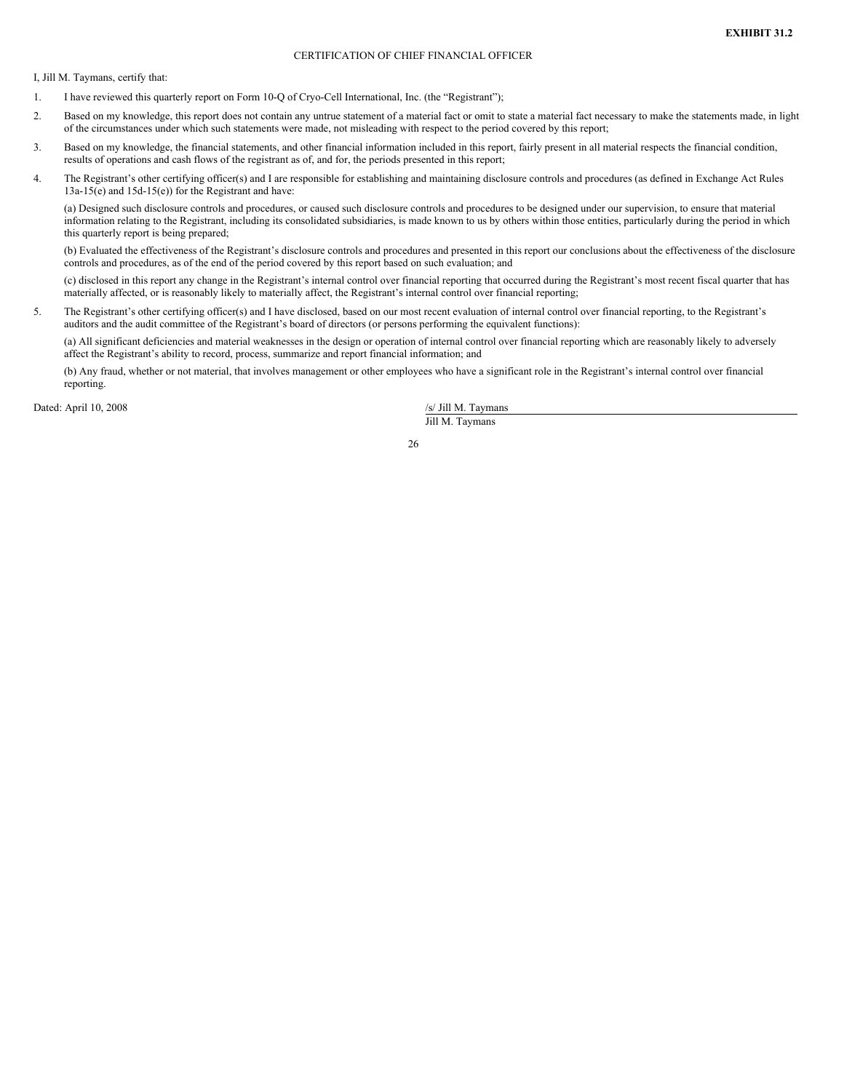#### CERTIFICATION OF CHIEF FINANCIAL OFFICER

I, Jill M. Taymans, certify that:

- 1. I have reviewed this quarterly report on Form 10-Q of Cryo-Cell International, Inc. (the "Registrant");
- 2. Based on my knowledge, this report does not contain any untrue statement of a material fact or omit to state a material fact necessary to make the statements made, in light of the circumstances under which such statements were made, not misleading with respect to the period covered by this report;
- 3. Based on my knowledge, the financial statements, and other financial information included in this report, fairly present in all material respects the financial condition, results of operations and cash flows of the registrant as of, and for, the periods presented in this report;
- 4. The Registrant's other certifying officer(s) and I are responsible for establishing and maintaining disclosure controls and procedures (as defined in Exchange Act Rules 13a-15(e) and 15d-15(e)) for the Registrant and have:

(a) Designed such disclosure controls and procedures, or caused such disclosure controls and procedures to be designed under our supervision, to ensure that material information relating to the Registrant, including its consolidated subsidiaries, is made known to us by others within those entities, particularly during the period in which this quarterly report is being prepared;

(b) Evaluated the effectiveness of the Registrant's disclosure controls and procedures and presented in this report our conclusions about the effectiveness of the disclosure controls and procedures, as of the end of the period covered by this report based on such evaluation; and

(c) disclosed in this report any change in the Registrant's internal control over financial reporting that occurred during the Registrant's most recent fiscal quarter that has materially affected, or is reasonably likely to materially affect, the Registrant's internal control over financial reporting;

5. The Registrant's other certifying officer(s) and I have disclosed, based on our most recent evaluation of internal control over financial reporting, to the Registrant's auditors and the audit committee of the Registrant's board of directors (or persons performing the equivalent functions):

(a) All significant deficiencies and material weaknesses in the design or operation of internal control over financial reporting which are reasonably likely to adversely affect the Registrant's ability to record, process, summarize and report financial information; and

(b) Any fraud, whether or not material, that involves management or other employees who have a significant role in the Registrant's internal control over financial reporting.

Dated: April 10, 2008 /s/ Jill M. Taymans

Jill M. Taymans